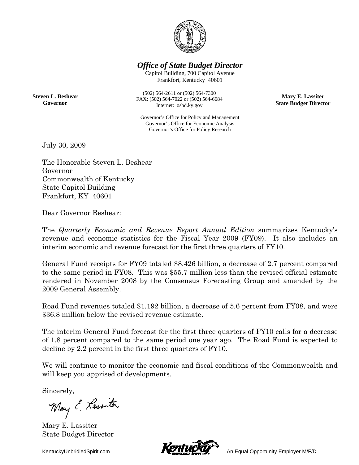

*Office of State Budget Director* 

Capitol Building, 700 Capitol Avenue Frankfort, Kentucky 40601

**Steven L. Beshear Governor** 

(502) 564-2611 or (502) 564-7300 FAX: (502) 564-7022 or (502) 564-6684 Internet: osbd.ky.gov

Governor's Office for Policy and Management Governor's Office for Economic Analysis Governor's Office for Policy Research

**Mary E. Lassiter State Budget Director** 

July 30, 2009

The Honorable Steven L. Beshear Governor Commonwealth of Kentucky State Capitol Building Frankfort, KY 40601

Dear Governor Beshear:

The *Quarterly Economic and Revenue Report Annual Edition* summarizes Kentucky's revenue and economic statistics for the Fiscal Year 2009 (FY09). It also includes an interim economic and revenue forecast for the first three quarters of FY10.

General Fund receipts for FY09 totaled \$8.426 billion, a decrease of 2.7 percent compared to the same period in FY08. This was \$55.7 million less than the revised official estimate rendered in November 2008 by the Consensus Forecasting Group and amended by the 2009 General Assembly.

Road Fund revenues totaled \$1.192 billion, a decrease of 5.6 percent from FY08, and were \$36.8 million below the revised revenue estimate.

The interim General Fund forecast for the first three quarters of FY10 calls for a decrease of 1.8 percent compared to the same period one year ago. The Road Fund is expected to decline by 2.2 percent in the first three quarters of FY10.

We will continue to monitor the economic and fiscal conditions of the Commonwealth and will keep you apprised of developments.

Sincerely,

May E. Lassitor

Mary E. Lassiter State Budget Director

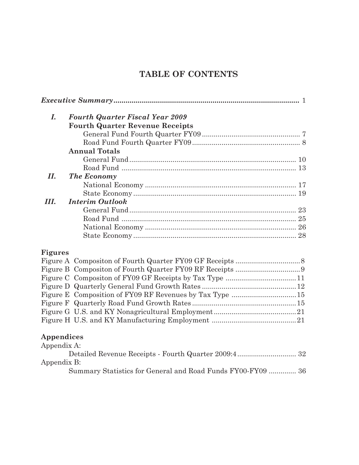# **TABLE OF CONTENTS**

| I.  | <b>Fourth Quarter Fiscal Year 2009</b> |  |
|-----|----------------------------------------|--|
|     | <b>Fourth Quarter Revenue Receipts</b> |  |
|     |                                        |  |
|     |                                        |  |
|     | <b>Annual Totals</b>                   |  |
|     |                                        |  |
|     |                                        |  |
| Н.  | The Economy                            |  |
|     |                                        |  |
|     |                                        |  |
| HI. | <b>Interim Outlook</b>                 |  |
|     |                                        |  |
|     |                                        |  |
|     |                                        |  |
|     |                                        |  |
|     |                                        |  |

# **Figures**

### **Appendices**

| Appendix A:                                                 |  |
|-------------------------------------------------------------|--|
|                                                             |  |
| Appendix B:                                                 |  |
| Summary Statistics for General and Road Funds FY00-FY09  36 |  |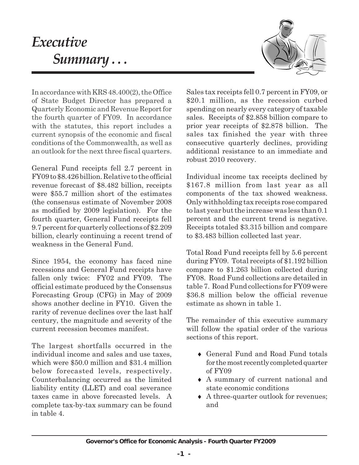

In accordance with KRS 48.400(2), the Office of State Budget Director has prepared a Quarterly Economic and Revenue Report for the fourth quarter of FY09. In accordance with the statutes, this report includes a current synopsis of the economic and fiscal conditions of the Commonwealth, as well as an outlook for the next three fiscal quarters.

General Fund receipts fell 2.7 percent in FY09 to \$8.426 billion. Relative to the official revenue forecast of \$8.482 billion, receipts were \$55.7 million short of the estimates (the consensus estimate of November 2008 as modified by 2009 legislation). For the fourth quarter, General Fund receipts fell 9.7 percent for quarterly collections of \$2.209 billion, clearly continuing a recent trend of weakness in the General Fund.

Since 1954, the economy has faced nine recessions and General Fund receipts have fallen only twice: FY02 and FY09. The official estimate produced by the Consensus Forecasting Group (CFG) in May of 2009 shows another decline in FY10. Given the rarity of revenue declines over the last half century, the magnitude and severity of the current recession becomes manifest.

The largest shortfalls occurred in the individual income and sales and use taxes, which were \$50.0 million and \$31.4 million below forecasted levels, respectively. Counterbalancing occurred as the limited liability entity (LLET) and coal severance taxes came in above forecasted levels. A complete tax-by-tax summary can be found in table 4.

Sales tax receipts fell 0.7 percent in FY09, or \$20.1 million, as the recession curbed spending on nearly every category of taxable sales. Receipts of \$2.858 billion compare to prior year receipts of \$2.878 billion. The sales tax finished the year with three consecutive quarterly declines, providing additional resistance to an immediate and robust 2010 recovery.

Individual income tax receipts declined by \$167.8 million from last year as all components of the tax showed weakness. Only withholding tax receipts rose compared to last year but the increase was less than 0.1 percent and the current trend is negative. Receipts totaled \$3.315 billion and compare to \$3.483 billion collected last year.

Total Road Fund receipts fell by 5.6 percent during FY09. Total receipts of \$1.192 billion compare to \$1.263 billion collected during FY08. Road Fund collections are detailed in table 7. Road Fund collections for FY09 were \$36.8 million below the official revenue estimate as shown in table 1.

The remainder of this executive summary will follow the spatial order of the various sections of this report.

- ♦ General Fund and Road Fund totals for the most recently completed quarter of FY09
- ♦ A summary of current national and state economic conditions
- ♦ A three-quarter outlook for revenues; and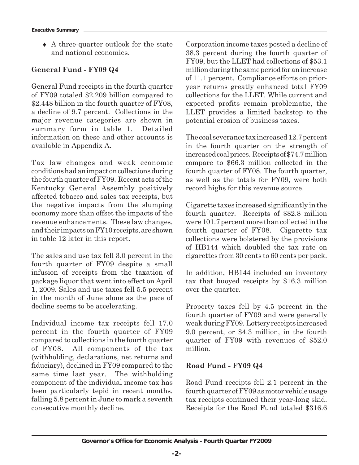♦ A three-quarter outlook for the state and national economies.

### **General Fund - FY09 Q4**

General Fund receipts in the fourth quarter of FY09 totaled \$2.209 billion compared to \$2.448 billion in the fourth quarter of FY08, a decline of 9.7 percent. Collections in the major revenue categories are shown in summary form in table 1. Detailed information on these and other accounts is available in Appendix A.

Tax law changes and weak economic conditions had an impact on collections during the fourth quarter of FY09. Recent acts of the Kentucky General Assembly positively affected tobacco and sales tax receipts, but the negative impacts from the slumping economy more than offset the impacts of the revenue enhancements. These law changes, and their impacts on FY10 receipts, are shown in table 12 later in this report.

The sales and use tax fell 3.0 percent in the fourth quarter of FY09 despite a small infusion of receipts from the taxation of package liquor that went into effect on April 1, 2009. Sales and use taxes fell 5.5 percent in the month of June alone as the pace of decline seems to be accelerating.

Individual income tax receipts fell 17.0 percent in the fourth quarter of FY09 compared to collections in the fourth quarter of FY08. All components of the tax (withholding, declarations, net returns and fiduciary), declined in FY09 compared to the same time last year. The withholding component of the individual income tax has been particularly tepid in recent months, falling 5.8 percent in June to mark a seventh consecutive monthly decline.

Corporation income taxes posted a decline of 38.3 percent during the fourth quarter of FY09, but the LLET had collections of \$53.1 million during the same period for an increase of 11.1 percent. Compliance efforts on prioryear returns greatly enhanced total FY09 collections for the LLET. While current and expected profits remain problematic, the LLET provides a limited backstop to the potential erosion of business taxes.

The coal severance tax increased 12.7 percent in the fourth quarter on the strength of increased coal prices. Receipts of \$74.7 million compare to \$66.3 million collected in the fourth quarter of FY08. The fourth quarter, as well as the totals for FY09, were both record highs for this revenue source.

Cigarette taxes increased significantly in the fourth quarter. Receipts of \$82.8 million were 101.7 percent more than collected in the fourth quarter of FY08. Cigarette tax collections were bolstered by the provisions of HB144 which doubled the tax rate on cigarettes from 30 cents to 60 cents per pack.

In addition, HB144 included an inventory tax that buoyed receipts by \$16.3 million over the quarter.

Property taxes fell by 4.5 percent in the fourth quarter of FY09 and were generally weak during FY09. Lottery receipts increased 9.0 percent, or \$4.3 million, in the fourth quarter of FY09 with revenues of \$52.0 million.

### **Road Fund - FY09 Q4**

Road Fund receipts fell 2.1 percent in the fourth quarter of FY09 as motor vehicle usage tax receipts continued their year-long skid. Receipts for the Road Fund totaled \$316.6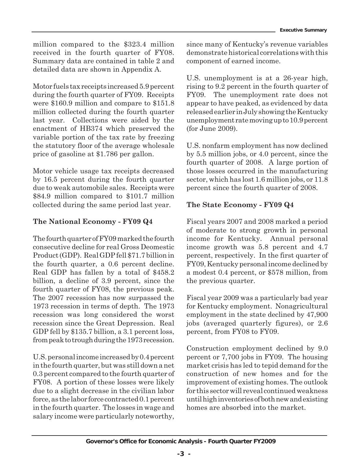detailed data are shown in Appendix A. million compared to the \$323.4 million received in the fourth quarter of FY08. Summary data are contained in table 2 and

Motor fuels tax receipts increased 5.9 percent during the fourth quarter of FY09. Receipts were \$160.9 million and compare to \$151.8 million collected during the fourth quarter last year. Collections were aided by the enactment of HB374 which preserved the variable portion of the tax rate by freezing the statutory floor of the average wholesale price of gasoline at \$1.786 per gallon.

Motor vehicle usage tax receipts decreased by 16.5 percent during the fourth quarter due to weak automobile sales. Receipts were \$84.9 million compared to \$101.7 million collected during the same period last year.

### **The National Economy - FY09 Q4**

The fourth quarter of FY09 marked the fourth consecutive decline for real Gross Deomestic Product (GDP). Real GDP fell \$71.7 billion in the fourth quarter, a 0.6 percent decline. Real GDP has fallen by a total of \$458.2 billion, a decline of 3.9 percent, since the fourth quarter of FY08, the previous peak. The 2007 recession has now surpassed the 1973 recession in terms of depth. The 1973 recession was long considered the worst recession since the Great Depression. Real GDP fell by \$135.7 billion, a 3.1 percent loss, from peak to trough during the 1973 recession.

U.S. personal income increased by 0.4 percent in the fourth quarter, but was still down a net 0.3 percent compared to the fourth quarter of FY08. A portion of these losses were likely due to a slight decrease in the civilian labor force, as the labor force contracted 0.1 percent in the fourth quarter. The losses in wage and salary income were particularly noteworthy,

since many of Kentucky's revenue variables demonstrate historical correlations with this component of earned income.

U.S. unemployment is at a 26-year high, rising to 9.2 percent in the fourth quarter of FY09. The unemployment rate does not appear to have peaked, as evidenced by data released earlier in July showing the Kentucky unemployment rate moving up to 10.9 percent (for June 2009).

U.S. nonfarm employment has now declined by 5.5 million jobs, or 4.0 percent, since the fourth quarter of 2008. A large portion of those losses occurred in the manufacturing sector, which has lost 1.6 million jobs, or 11.8 percent since the fourth quarter of 2008.

# **The State Economy - FY09 Q4**

Fiscal years 2007 and 2008 marked a period of moderate to strong growth in personal income for Kentucky. Annual personal income growth was 5.8 percent and 4.7 percent, respectively. In the first quarter of FY09, Kentucky personal income declined by a modest 0.4 percent, or \$578 million, from the previous quarter.

Fiscal year 2009 was a particularly bad year for Kentucky employment. Nonagricultural employment in the state declined by 47,900 jobs (averaged quarterly figures), or 2.6 percent, from FY08 to FY09.

Construction employment declined by 9.0 percent or 7,700 jobs in FY09. The housing market crisis has led to tepid demand for the construction of new homes and for the improvement of existing homes. The outlook for this sector will reveal continued weakness until high inventories of both new and existing homes are absorbed into the market.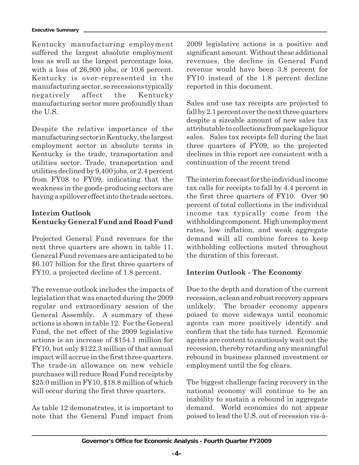Kentucky manufacturing employment suffered the largest absolute employment loss as well as the largest percentage loss, with a loss of 26,900 jobs, or 10.6 percent. Kentucky is over-represented in the manufacturing sector, so recessions typically negatively affect the Kentucky manufacturing sector more profoundly than the U.S.

Despite the relative importance of the manufacturing sector in Kentucky, the largest employment sector in absolute terms in Kentucky is the trade, transportation and utilities sector. Trade, transportation and utilities declined by 9,400 jobs, or 2.4 percent from FY08 to FY09, indicating that the weakness in the goods-producing sectors are having a spillover effect into the trade sectors.

### **Interim Outlook Kentucky General Fund and Road Fund**

Projected General Fund revenues for the next three quarters are shown in table 11. General Fund revenues are anticipated to be \$6.107 billion for the first three quarters of FY10, a projected decline of 1.8 percent.

The revenue outlook includes the impacts of legislation that was enacted during the 2009 regular and extraordinary session of the General Assembly. A summary of these actions is shown in table 12. For the General Fund, the net effect of the 2009 legislative actions is an increase of \$154.1 million for FY10, but only \$122.3 million of that annual impact will accrue in the first three quarters. The trade-in allowance on new vehicle purchases will reduce Road Fund receipts by \$25.0 million in FY10, \$18.8 million of which will occur during the first three quarters.

As table 12 demonstrates, it is important to note that the General Fund impact from 2009 legislative actions is a positive and significant amount. Without these additional revenues, the decline in General Fund revenue would have been 3.8 percent for FY10 instead of the 1.8 percent decline reported in this document.

Sales and use tax receipts are projected to fall by 2.1 percent over the next three quarters despite a sizeable amount of new sales tax attributable to collections from package liquor sales. Sales tax receipts fell during the last three quarters of FY09, so the projected declines in this report are consistent with a continuation of the recent trend

The interim forecast for the individual income tax calls for receipts to fall by 4.4 percent in the first three quarters of FY10. Over 90 percent of total collections in the individual income tax typically come from the withholding component. High unemployment rates, low inflation, and weak aggregate demand will all combine forces to keep withholding collections muted throughout the duration of this forecast.

# **Interim Outlook - The Economy**

Due to the depth and duration of the current recession, a clean and robust recovery appears unlikely. The broader economy appears poised to move sideways until economic agents can more positively identify and confirm that the tide has turned. Economic agents are content to cautiously wait out the recession, thereby retarding any meaningful rebound in business planned investment or employment until the fog clears.

The biggest challenge facing recovery in the national economy will continue to be an inability to sustain a rebound in aggregate demand. World economies do not appear poised to lead the U.S. out of recession vis-à-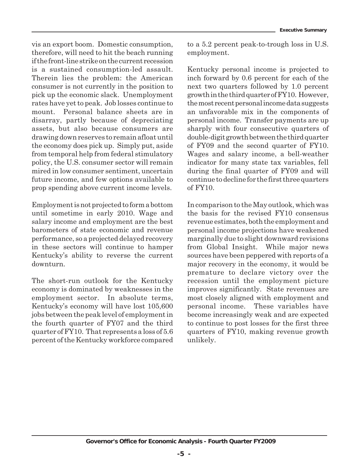is a sustained consumption-led assault. Kentucky personal income is projected t vis an export boom. Domestic consumption, therefore, will need to hit the beach running if the front-line strike on the current recession Therein lies the problem: the American consumer is not currently in the position to pick up the economic slack. Unemployment rates have yet to peak. Job losses continue to mount. Personal balance sheets are in disarray, partly because of depreciating assets, but also because consumers are drawing down reserves to remain afloat until the economy does pick up. Simply put, aside from temporal help from federal stimulatory policy, the U.S. consumer sector will remain mired in low consumer sentiment, uncertain future income, and few options available to prop spending above current income levels.

Employment is not projected to form a bottom until sometime in early 2010. Wage and salary income and employment are the best barometers of state economic and revenue performance, so a projected delayed recovery in these sectors will continue to hamper Kentucky's ability to reverse the current downturn.

The short-run outlook for the Kentucky economy is dominated by weaknesses in the employment sector. In absolute terms, Kentucky's economy will have lost 105,600 jobs between the peak level of employment in the fourth quarter of FY07 and the third quarter of FY10. That represents a loss of 5.6 percent of the Kentucky workforce compared to a 5.2 percent peak-to-trough loss in U.S. employment.

Kentucky personal income is projected to inch forward by 0.6 percent for each of the next two quarters followed by 1.0 percent growth in the third quarter of FY10. However, the most recent personal income data suggests an unfavorable mix in the components of personal income. Transfer payments are up sharply with four consecutive quarters of double-digit growth between the third quarter of FY09 and the second quarter of FY10. Wages and salary income, a bell-weather indicator for many state tax variables, fell during the final quarter of FY09 and will continue to decline for the first three quarters of FY10.

In comparison to the May outlook, which was the basis for the revised FY10 consensus revenue estimates, both the employment and personal income projections have weakened marginally due to slight downward revisions from Global Insight. While major news sources have been peppered with reports of a major recovery in the economy, it would be premature to declare victory over the recession until the employment picture improves significantly. State revenues are most closely aligned with employment and personal income. These variables have become increasingly weak and are expected to continue to post losses for the first three quarters of FY10, making revenue growth unlikely.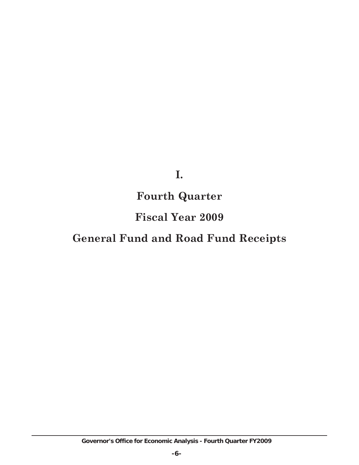**I.**

# **Fourth Quarter**

# **Fiscal Year 2009**

# **General Fund and Road Fund Receipts**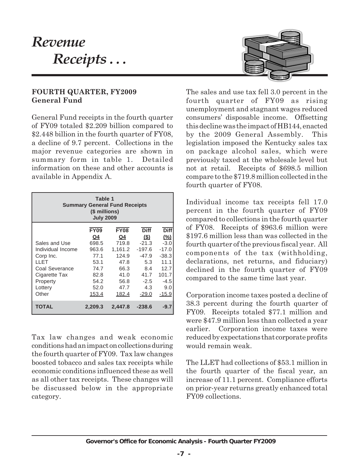# *Revenue Receipts . . .*

### **FOURTH QUARTER, FY2009 General Fund**

General Fund receipts in the fourth quarter of FY09 totaled \$2.209 billion compared to \$2.448 billion in the fourth quarter of FY08, a decline of 9.7 percent. Collections in the major revenue categories are shown in summary form in table 1. Detailed information on these and other accounts is available in Appendix A.

| Table 1<br><b>Summary General Fund Receipts</b><br>(\$ millions)<br><b>July 2009</b> |           |           |              |                     |  |  |  |  |  |
|--------------------------------------------------------------------------------------|-----------|-----------|--------------|---------------------|--|--|--|--|--|
| $\overline{FY09}$<br><b>FY08</b><br><b>Diff</b><br><b>Diff</b>                       |           |           |              |                     |  |  |  |  |  |
|                                                                                      | <u>Q4</u> | <u>Q4</u> | $\mathbf{B}$ | $\frac{(\%)}{(\%)}$ |  |  |  |  |  |
| Sales and Use                                                                        | 698.5     | 719.8     | $-21.3$      | $-3.0$              |  |  |  |  |  |
| Individual Income<br>1.161.2<br>$-197.6$<br>$-17.0$<br>963.6                         |           |           |              |                     |  |  |  |  |  |
| 77.1<br>Corp Inc.<br>124.9<br>$-47.9$<br>$-38.3$                                     |           |           |              |                     |  |  |  |  |  |
| LLET                                                                                 | 53.1      | 47.8      | 5.3          | 11.1                |  |  |  |  |  |
| Coal Severance                                                                       | 74.7      | 66.3      | 8.4          | 12.7                |  |  |  |  |  |
| Cigarette Tax                                                                        | 82.8      | 41.0      | 41.7         | 101.7               |  |  |  |  |  |
| Property                                                                             | 54.2      | 56.8      | $-2.5$       | $-4.5$              |  |  |  |  |  |
| Lottery                                                                              | 52.0      | 47.7      | 4.3          | 9.0                 |  |  |  |  |  |
| Other                                                                                | 153.4     | 182.4     | $-29.0$      | $-15.9$             |  |  |  |  |  |
| <b>TOTAL</b>                                                                         | 2,209.3   | 2.447.8   | -238.6       | -9.7                |  |  |  |  |  |

Tax law changes and weak economic conditions had an impact on collections during the fourth quarter of FY09. Tax law changes boosted tobacco and sales tax receipts while economic conditions influenced these as well as all other tax receipts. These changes will be discussed below in the appropriate category.



The sales and use tax fell 3.0 percent in the fourth quarter of FY09 as rising unemployment and stagnant wages reduced consumers' disposable income. Offsetting this decline was the impact of HB144, enacted by the 2009 General Assembly. This legislation imposed the Kentucky sales tax on package alcohol sales, which were previously taxed at the wholesale level but not at retail. Receipts of \$698.5 million compare to the \$719.8 million collected in the fourth quarter of FY08.

Individual income tax receipts fell 17.0 percent in the fourth quarter of FY09 compared to collections in the fourth quarter of FY08. Receipts of \$963.6 million were \$197.6 million less than was collected in the fourth quarter of the previous fiscal year. All components of the tax (withholding, declarations, net returns, and fiduciary) declined in the fourth quarter of FY09 compared to the same time last year.

Corporation income taxes posted a decline of 38.3 percent during the fourth quarter of FY09. Receipts totaled \$77.1 million and were \$47.9 million less than collected a year earlier. Corporation income taxes were reduced by expectations that corporate profits would remain weak.

The LLET had collections of \$53.1 million in the fourth quarter of the fiscal year, an increase of 11.1 percent. Compliance efforts on prior-year returns greatly enhanced total FY09 collections.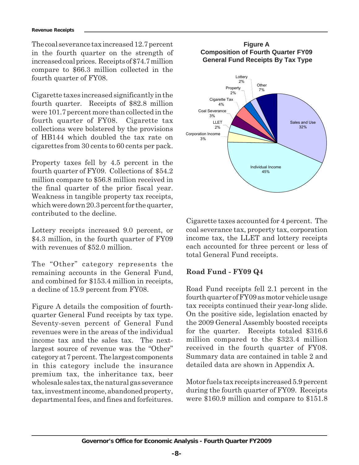The coal severance tax increased 12.7 percent in the fourth quarter on the strength of increased coal prices. Receipts of \$74.7 million compare to \$66.3 million collected in the fourth quarter of FY08.

Cigarette taxes increased significantly in the fourth quarter. Receipts of \$82.8 million were 101.7 percent more than collected in the fourth quarter of FY08. Cigarette tax collections were bolstered by the provisions of HB144 which doubled the tax rate on cigarettes from 30 cents to 60 cents per pack.

Property taxes fell by 4.5 percent in the fourth quarter of FY09. Collections of \$54.2 million compare to \$56.8 million received in the final quarter of the prior fiscal year. Weakness in tangible property tax receipts, which were down 20.3 percent for the quarter, contributed to the decline.

Lottery receipts increased 9.0 percent, or \$4.3 million, in the fourth quarter of FY09 with revenues of \$52.0 million.

The "Other" category represents the remaining accounts in the General Fund, and combined for \$153.4 million in receipts, a decline of 15.9 percent from FY08.

Figure A details the composition of fourthquarter General Fund receipts by tax type. Seventy-seven percent of General Fund revenues were in the areas of the individual income tax and the sales tax. The nextlargest source of revenue was the "Other" category at 7 percent. The largest components in this category include the insurance premium tax, the inheritance tax, beer wholesale sales tax, the natural gas severance tax, investment income, abandoned property, departmental fees, and fines and forfeitures.

### **Figure A Composition of Fourth Quarter FY09 General Fund Receipts By Tax Type**



Cigarette taxes accounted for 4 percent. The coal severance tax, property tax, corporation income tax, the LLET and lottery receipts each accounted for three percent or less of total General Fund receipts.

### **Road Fund - FY09 Q4**

Road Fund receipts fell 2.1 percent in the fourth quarter of FY09 as motor vehicle usage tax receipts continued their year-long slide. On the positive side, legislation enacted by the 2009 General Assembly boosted receipts for the quarter. Receipts totaled \$316.6 million compared to the \$323.4 million received in the fourth quarter of FY08. Summary data are contained in table 2 and detailed data are shown in Appendix A.

Motor fuels tax receipts increased 5.9 percent during the fourth quarter of FY09. Receipts were \$160.9 million and compare to \$151.8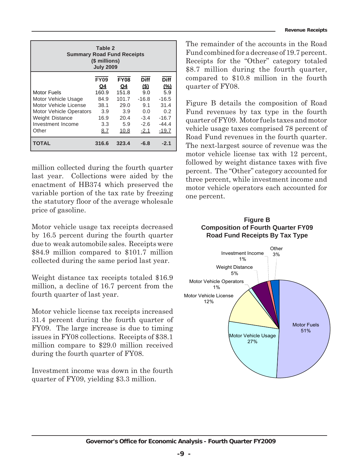| Table 2<br><b>Summary Road Fund Receipts</b><br>(\$ millions)<br><b>July 2009</b> |                                   |                                   |                             |                                  | The remainder of the accounts in the Road<br>Fund combined for a decrease of 19.7 percent.<br>Receipts for the "Other" category totaled<br>\$8.7 million during the fourth quarter, |
|-----------------------------------------------------------------------------------|-----------------------------------|-----------------------------------|-----------------------------|----------------------------------|-------------------------------------------------------------------------------------------------------------------------------------------------------------------------------------|
| Motor Fuels                                                                       | <b>FY09</b><br><u>Q4</u><br>160.9 | <b>FY08</b><br><u>Q4</u><br>151.8 | <b>Diff</b><br>$\mathbf{D}$ | <b>Diff</b><br><u>(%)</u><br>5.9 | compared to \$10.8 million in the fourth<br>quarter of FY08.                                                                                                                        |
| Motor Vehicle Usage                                                               | 84.9                              | 101.7                             | 9.0<br>$-16.8$              | $-16.5$                          |                                                                                                                                                                                     |
| Motor Vehicle License                                                             | 38.1                              | 29.0                              | 9.1                         | 31.4                             | Figure B details the composition of Road                                                                                                                                            |
| <b>Motor Vehicle Operators</b>                                                    | 3.9                               | 3.9                               | 0.0                         | 0.2                              | Fund revenues by tax type in the fourth                                                                                                                                             |
| <b>Weight Distance</b>                                                            | 16.9                              | 20.4                              | $-3.4$                      | $-16.7$                          | quarter of FY09. Motor fuels taxes and motor                                                                                                                                        |
| Investment Income                                                                 | 3.3                               | 5.9                               | $-2.6$                      | $-44.4$                          |                                                                                                                                                                                     |
| Other                                                                             | 8.7                               | 10.8                              | $-2.1$                      | $-19.7$                          | vehicle usage taxes comprised 78 percent of                                                                                                                                         |
| <b>TOTAL</b>                                                                      | 316.6                             | 323.4                             | $-6.8$                      | $-2.1$                           | Road Fund revenues in the fourth quarter.<br>The next-largest source of revenue was the                                                                                             |

million collected during the fourth quarter last year. Collections were aided by the enactment of HB374 which preserved the variable portion of the tax rate by freezing the statutory floor of the average wholesale price of gasoline.

Motor vehicle usage tax receipts decreased by 16.5 percent during the fourth quarter due to weak automobile sales. Receipts were \$84.9 million compared to \$101.7 million collected during the same period last year.

Weight distance tax receipts totaled \$16.9 million, a decline of 16.7 percent from the fourth quarter of last year.

Motor vehicle license tax receipts increased 31.4 percent during the fourth quarter of FY09. The large increase is due to timing issues in FY08 collections. Receipts of \$38.1 million compare to \$29.0 million received during the fourth quarter of FY08.

Investment income was down in the fourth quarter of FY09, yielding \$3.3 million.

Figure B details the composition of Road Fund revenues by tax type in the fourth quarter of FY09. Motor fuels taxes and motor vehicle usage taxes comprised 78 percent of Road Fund revenues in the fourth quarter. The next-largest source of revenue was the motor vehicle license tax with 12 percent, followed by weight distance taxes with five percent. The "Other" category accounted for three percent, while investment income and motor vehicle operators each accounted for one percent.

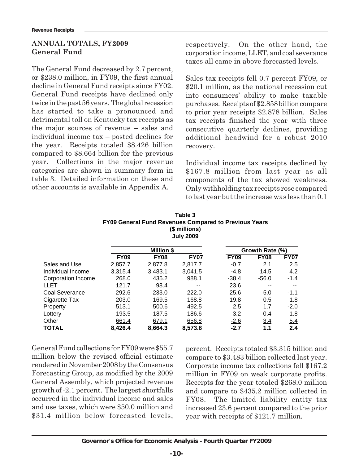## **ANNUAL TOTALS, FY2009 General Fund**

The General Fund decreased by 2.7 percent, or \$238.0 million, in FY09, the first annual decline in General Fund receipts since FY02. General Fund receipts have declined only twice in the past 56 years. The global recession has started to take a pronounced and detrimental toll on Kentucky tax receipts as the major sources of revenue – sales and individual income tax – posted declines for the year. Receipts totaled \$8.426 billion compared to \$8.664 billion for the previous year. Collections in the major revenue categories are shown in summary form in table 3. Detailed information on these and other accounts is available in Appendix A.

respectively. On the other hand, the corporation income, LLET, and coal severance taxes all came in above forecasted levels.

Sales tax receipts fell 0.7 percent FY09, or \$20.1 million, as the national recession cut into consumers' ability to make taxable purchases. Receipts of \$2.858 billion compare to prior year receipts \$2.878 billion. Sales tax receipts finished the year with three consecutive quarterly declines, providing additional headwind for a robust 2010 recovery.

Individual income tax receipts declined by \$167.8 million from last year as all components of the tax showed weakness. Only withholding tax receipts rose compared to last year but the increase was less than 0.1

|                    |             |                   | <b>FY09 General Fund Revenues Compared to Previous Years</b><br>(\$ millions)<br><b>July 2009</b> |             |                 |             |
|--------------------|-------------|-------------------|---------------------------------------------------------------------------------------------------|-------------|-----------------|-------------|
|                    |             | <b>Million \$</b> |                                                                                                   |             | Growth Rate (%) |             |
|                    | <b>FY09</b> | <b>FY08</b>       | <b>FY07</b>                                                                                       | <b>FY09</b> | <b>FY08</b>     | <b>FY07</b> |
| Sales and Use      | 2,857.7     | 2,877.8           | 2,817.7                                                                                           | $-0.7$      | 2.1             | 2.5         |
| Individual Income  | 3,315.4     | 3,483.1           | 3.041.5                                                                                           | $-4.8$      | 14.5            | 4.2         |
| Corporation Income | 268.0       | 435.2             | 988.1                                                                                             | $-38.4$     | $-56.0$         | $-1.4$      |
| LLET               | 121.7       | 98.4              |                                                                                                   | 23.6        | --              | --          |
| Coal Severance     | 292.6       | 233.0             | 222.0                                                                                             | 25.6        | 5.0             | $-1.1$      |
| Cigarette Tax      | 203.0       | 169.5             | 168.8                                                                                             | 19.8        | 0.5             | 1.8         |
| Property           | 513.1       | 500.6             | 492.5                                                                                             | 2.5         | 1.7             | $-2.0$      |
| Lottery            | 193.5       | 187.5             | 186.6                                                                                             | 3.2         | 0.4             | $-1.8$      |
| Other              | 661.4       | 679.1             | 656.8                                                                                             | $-2.6$      | 3.4             | 5.4         |
| TOTAL              | 8,426.4     | 8,664.3           | 8,573.8                                                                                           | $-2.7$      | 1.1             | 2.4         |

**Table 3**

General Fund collections for FY09 were \$55.7 million below the revised official estimate rendered in November 2008 by the Consensus Forecasting Group, as modified by the 2009 General Assembly, which projected revenue growth of -2.1 percent. The largest shortfalls occurred in the individual income and sales and use taxes, which were \$50.0 million and \$31.4 million below forecasted levels,

percent. Receipts totaled \$3.315 billion and compare to \$3.483 billion collected last year. Corporate income tax collections fell \$167.2 million in FY09 on weak corporate profits. Receipts for the year totaled \$268.0 million and compare to \$435.2 million collected in FY08. The limited liability entity tax increased 23.6 percent compared to the prior year with receipts of \$121.7 million.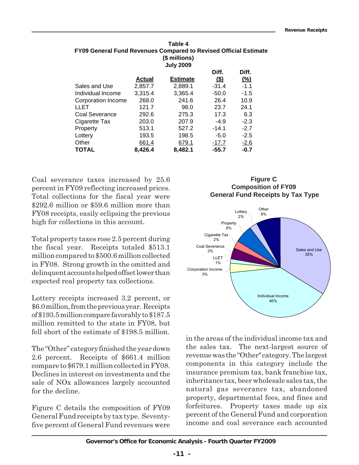|                    |         | (\$ millions)<br><b>July 2009</b> |         |                     |
|--------------------|---------|-----------------------------------|---------|---------------------|
|                    |         |                                   | Diff.   | Diff.               |
|                    | Actual  | <b>Estimate</b>                   | (\$)    | $\frac{(\%)}{(\%)}$ |
| Sales and Use      | 2,857.7 | 2,889.1                           | $-31.4$ | $-1.1$              |
| Individual Income  | 3.315.4 | 3,365.4                           | $-50.0$ | $-1.5$              |
| Corporation Income | 268.0   | 241.6                             | 26.4    | 10.9                |
| <b>LLET</b>        | 121.7   | 98.0                              | 23.7    | 24.1                |
| Coal Severance     | 292.6   | 275.3                             | 17.3    | 6.3                 |
| Cigarette Tax      | 203.0   | 207.9                             | $-4.9$  | $-2.3$              |
| Property           | 513.1   | 527.2                             | $-14.1$ | $-2.7$              |
| Lottery            | 193.5   | 198.5                             | $-5.0$  | $-2.5$              |
| Other              | 661.4   | 679.1                             | $-17.7$ | $-2.6$              |
| <b>TOTAL</b>       | 8.426.4 | 8,482.1                           | -55.7   | $-0.7$              |

| Table 4                                                                 |              |
|-------------------------------------------------------------------------|--------------|
| <b>FY09 General Fund Revenues Compared to Revised Official Estimate</b> |              |
| (\$ millions)                                                           |              |
| <b>July 2009</b>                                                        |              |
|                                                                         | niff<br>niff |

Coal severance taxes increased by 25.6 percent in FY09 reflecting increased prices. Total collections for the fiscal year were \$292.6 million or \$59.6 million more than FY08 receipts, easily eclipsing the previous high for collections in this account.

Total property taxes rose 2.5 percent during the fiscal year. Receipts totaled \$513.1 million compared to \$500.6 million collected in FY08. Strong growth in the omitted and delinquent accounts helped offset lower than expected real property tax collections.

Lottery receipts increased 3.2 percent, or \$6.0 million, from the previous year. Receipts of \$193.5 million compare favorably to \$187.5 million remitted to the state in FY08, but fell short of the estimate of \$198.5 million.

The "Other" category finished the year down 2.6 percent. Receipts of \$661.4 million compare to \$679.1 million collected in FY08. Declines in interest on investments and the sale of NOx allowances largely accounted for the decline.

Figure C details the composition of FY09 General Fund receipts by tax type. Seventyfive percent of General Fund revenues were





in the areas of the individual income tax and the sales tax. The next-largest source of revenue was the "Other" category. The largest components in this category include the insurance premium tax, bank franchise tax, inheritance tax, beer wholesale sales tax, the natural gas severance tax, abandoned property, departmental fees, and fines and forfeitures. Property taxes made up six percent of the General Fund and corporation income and coal severance each accounted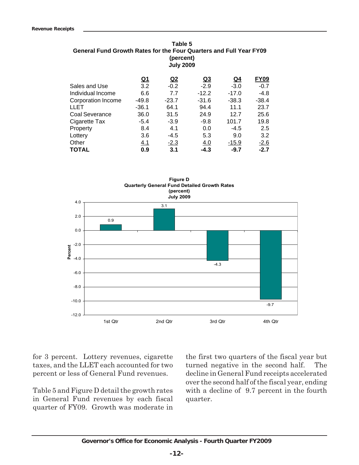| Table 5<br><b>General Fund Growth Rates for the Four Quarters and Full Year FY09</b><br>(percent)<br><b>July 2009</b> |           |           |            |           |             |  |  |
|-----------------------------------------------------------------------------------------------------------------------|-----------|-----------|------------|-----------|-------------|--|--|
|                                                                                                                       | <u>Q1</u> | <u>Q2</u> | <u>Q3</u>  | <u>Q4</u> | <b>FY09</b> |  |  |
| Sales and Use                                                                                                         | 3.2       | $-0.2$    | $-2.9$     | $-3.0$    | $-0.7$      |  |  |
| Individual Income                                                                                                     | 6.6       | 7.7       | $-12.2$    | $-17.0$   | $-4.8$      |  |  |
| Corporation Income                                                                                                    | $-49.8$   | $-23.7$   | $-31.6$    | $-38.3$   | $-38.4$     |  |  |
| LLET                                                                                                                  | $-36.1$   | 64.1      | 94.4       | 11.1      | 23.7        |  |  |
| <b>Coal Severance</b>                                                                                                 | 36.0      | 31.5      | 24.9       | 12.7      | 25.6        |  |  |
| Cigarette Tax                                                                                                         | $-5.4$    | $-3.9$    | $-9.8$     | 101.7     | 19.8        |  |  |
| Property                                                                                                              | 8.4       | 4.1       | 0.0        | $-4.5$    | 2.5         |  |  |
| Lottery                                                                                                               | 3.6       | $-4.5$    | 5.3        | 9.0       | 3.2         |  |  |
| Other                                                                                                                 | 4.1       | $-2.3$    | <u>4.0</u> | $-15.9$   | $-2.6$      |  |  |
| <b>TOTAL</b>                                                                                                          | 0.9       | 3.1       | $-4.3$     | $-9.7$    | $-2.7$      |  |  |



**Figure D**

for 3 percent. Lottery revenues, cigarette taxes, and the LLET each accounted for two percent or less of General Fund revenues.

Table 5 and Figure D detail the growth rates in General Fund revenues by each fiscal quarter of FY09. Growth was moderate in the first two quarters of the fiscal year but turned negative in the second half. The decline in General Fund receipts accelerated over the second half of the fiscal year, ending with a decline of 9.7 percent in the fourth quarter.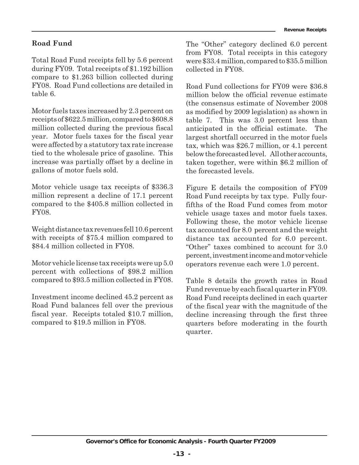## **Road Fund**

during FY09. Total receipts of \$1.192 billion collected in FY08. Total Road Fund receipts fell by 5.6 percent compare to \$1.263 billion collected during FY08. Road Fund collections are detailed in table 6.

Motor fuels taxes increased by 2.3 percent on receipts of \$622.5 million, compared to \$608.8 million collected during the previous fiscal year. Motor fuels taxes for the fiscal year were affected by a statutory tax rate increase tied to the wholesale price of gasoline. This increase was partially offset by a decline in gallons of motor fuels sold.

Motor vehicle usage tax receipts of \$336.3 million represent a decline of 17.1 percent compared to the \$405.8 million collected in FY08.

Weight distance tax revenues fell 10.6 percent with receipts of \$75.4 million compared to \$84.4 million collected in FY08.

Motor vehicle license tax receipts were up 5.0 percent with collections of \$98.2 million compared to \$93.5 million collected in FY08.

Investment income declined 45.2 percent as Road Fund balances fell over the previous fiscal year. Receipts totaled \$10.7 million, compared to \$19.5 million in FY08.

The "Other" category declined 6.0 percent from FY08. Total receipts in this category were \$33.4 million, compared to \$35.5 million collected in FY08.

Road Fund collections for FY09 were \$36.8 million below the official revenue estimate (the consensus estimate of November 2008 as modified by 2009 legislation) as shown in table 7. This was 3.0 percent less than anticipated in the official estimate. The largest shortfall occurred in the motor fuels tax, which was \$26.7 million, or 4.1 percent below the forecasted level. All other accounts, taken together, were within \$6.2 million of the forecasted levels.

Figure E details the composition of FY09 Road Fund receipts by tax type. Fully fourfifths of the Road Fund comes from motor vehicle usage taxes and motor fuels taxes. Following these, the motor vehicle license tax accounted for 8.0 percent and the weight distance tax accounted for 6.0 percent. "Other" taxes combined to account for 3.0 percent, investment income and motor vehicle operators revenue each were 1.0 percent.

Table 8 details the growth rates in Road Fund revenue by each fiscal quarter in FY09. Road Fund receipts declined in each quarter of the fiscal year with the magnitude of the decline increasing through the first three quarters before moderating in the fourth quarter.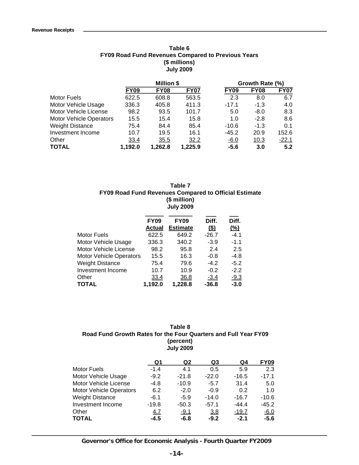|                                |             |                   | <b>July 2009</b> |             |                 |             |
|--------------------------------|-------------|-------------------|------------------|-------------|-----------------|-------------|
|                                |             | <b>Million \$</b> |                  |             | Growth Rate (%) |             |
|                                | <b>FY09</b> | <b>FY08</b>       | <b>FY07</b>      | <b>FY09</b> | <b>FY08</b>     | <b>FY07</b> |
| Motor Fuels                    | 622.5       | 608.8             | 563.5            | 2.3         | 8.0             | 6.7         |
| Motor Vehicle Usage            | 336.3       | 405.8             | 411.3            | $-17.1$     | $-1.3$          | 4.0         |
| Motor Vehicle License          | 98.2        | 93.5              | 101.7            | 5.0         | $-8.0$          | 8.3         |
| <b>Motor Vehicle Operators</b> | 15.5        | 15.4              | 15.8             | 1.0         | $-2.8$          | 8.6         |
| <b>Weight Distance</b>         | 75.4        | 84.4              | 85.4             | $-10.6$     | $-1.3$          | 0.1         |
| Investment Income              | 10.7        | 19.5              | 16.1             | $-45.2$     | 20.9            | 152.6       |
| Other                          | 33.4        | 35.5              | 32.2             | $-6.0$      | 10.3            | $-22.1$     |
| TOTAL                          | 1.192.0     | 1,262.8           | 1,225.9          | $-5.6$      | 3.0             | 5.2         |

# **Table 6 FY09 Road Fund Revenues Compared to Previous Years (\$ millions)**

#### **Table 7 FY09 Road Fund Revenues Compared to Official Estimate (\$ million) July 2009**

|                                | <b>FY09</b><br><b>Actual</b> | <b>FY09</b><br><b>Estimate</b> | Diff.<br>$\mathbf{B}$ | Diff.<br>$\frac{(\%)}{(\%)}$ |
|--------------------------------|------------------------------|--------------------------------|-----------------------|------------------------------|
| <b>Motor Fuels</b>             | 622.5                        | 649.2                          | $-26.7$               | $-4.1$                       |
| Motor Vehicle Usage            | 336.3                        | 340.2                          | $-3.9$                | $-1.1$                       |
| Motor Vehicle License          | 98.2                         | 95.8                           | 2.4                   | 2.5                          |
| <b>Motor Vehicle Operators</b> | 15.5                         | 16.3                           | $-0.8$                | $-4.8$                       |
| <b>Weight Distance</b>         | 75.4                         | 79.6                           | $-4.2$                | $-5.2$                       |
| Investment Income              | 10.7                         | 10.9                           | $-0.2$                | $-2.2$                       |
| Other                          | 33.4                         | 36.8                           | $-3.4$                | $-9.3$                       |
| <b>TOTAL</b>                   | 1.192.0                      | 1,228.8                        | $-36.8$               | $-3.0$                       |

#### **Table 8 Road Fund Growth Rates for the Four Quarters and Full Year FY09 (percent) July 2009**

|                                | Q1      | Q <sub>2</sub> | Q3      | Q4      | <b>FY09</b> |
|--------------------------------|---------|----------------|---------|---------|-------------|
| <b>Motor Fuels</b>             | $-1.4$  | 4.1            | 0.5     | 5.9     | 2.3         |
| Motor Vehicle Usage            | $-9.2$  | $-21.8$        | $-22.0$ | $-16.5$ | $-17.1$     |
| Motor Vehicle License          | $-4.8$  | $-10.9$        | $-5.7$  | 31.4    | 5.0         |
| <b>Motor Vehicle Operators</b> | 6.2     | $-2.0$         | $-0.9$  | 0.2     | 1.0         |
| <b>Weight Distance</b>         | $-6.1$  | $-5.9$         | $-14.0$ | $-16.7$ | $-10.6$     |
| Investment Income              | $-19.8$ | $-50.3$        | $-57.1$ | $-44.4$ | $-45.2$     |
| Other                          | 4.7     | $-9.1$         | 3.8     | $-19.7$ | $-6.0$      |
| <b>TOTAL</b>                   | $-4.5$  | $-6.8$         | $-9.2$  | $-2.1$  | $-5.6$      |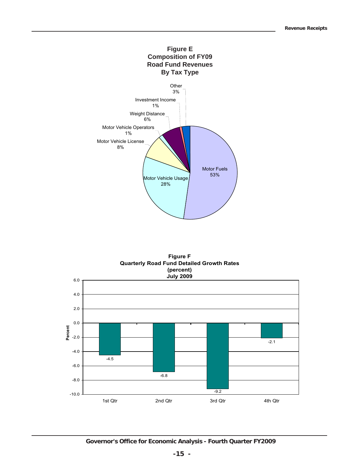



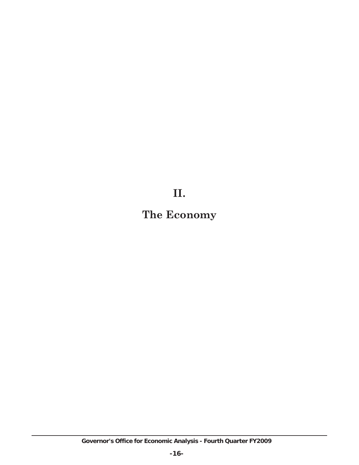**II.**

**The Economy**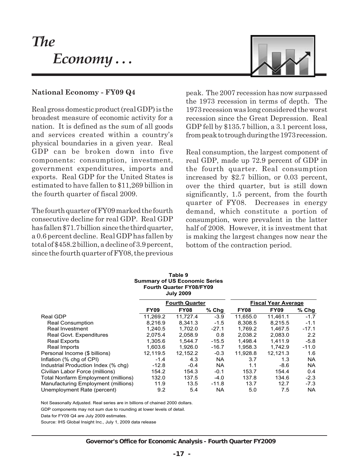*The*



### **National Economy - FY09 Q4**

Real gross domestic product (real GDP) is the broadest measure of economic activity for a nation. It is defined as the sum of all goods and services created within a country's physical boundaries in a given year. Real GDP can be broken down into five components: consumption, investment, government expenditures, imports and exports. Real GDP for the United States is estimated to have fallen to \$11,269 billion in the fourth quarter of fiscal 2009.

The fourth quarter of FY09 marked the fourth consecutive decline for real GDP. Real GDP has fallen \$71.7 billion since the third quarter, a 0.6 percent decline. Real GDP has fallen by total of \$458.2 billion, a decline of 3.9 percent, since the fourth quarter of FY08, the previous peak. The 2007 recession has now surpassed the 1973 recession in terms of depth. The 1973 recession was long considered the worst recession since the Great Depression. Real GDP fell by \$135.7 billion, a 3.1 percent loss, from peak to trough during the 1973 recession.

Real consumption, the largest component of real GDP, made up 72.9 percent of GDP in the fourth quarter. Real consumption increased by \$2.7 billion, or 0.03 percent, over the third quarter, but is still down significantly, 1.5 percent, from the fourth quarter of FY08. Decreases in energy demand, which constitute a portion of consumption, were prevalent in the latter half of 2008. However, it is investment that is making the largest changes now near the bottom of the contraction period.

|                                            | <b>Summary of US Economic Series</b> | <b>Fourth Quarter FY08/FY09</b><br><b>July 2009</b> |           |                            |             |           |
|--------------------------------------------|--------------------------------------|-----------------------------------------------------|-----------|----------------------------|-------------|-----------|
|                                            |                                      | <b>Fourth Quarter</b>                               |           | <b>Fiscal Year Average</b> |             |           |
|                                            | <b>FY09</b>                          | <b>FY08</b>                                         | $%$ Chg   | <b>FY08</b>                | <b>FY09</b> | $%$ Chq   |
| Real GDP                                   | 11.269.2                             | 11,727.4                                            | $-3.9$    | 11.655.0                   | 11.461.1    | $-1.7$    |
| <b>Real Consumption</b>                    | 8,216.9                              | 8,341.3                                             | $-1.5$    | 8,308.5                    | 8,215.5     | $-1.1$    |
| <b>Real Investment</b>                     | 1,240.5                              | 1,702.0                                             | $-27.1$   | 1,769.2                    | 1,467.5     | $-17.1$   |
| Real Govt. Expenditures                    | 2,075.4                              | 2.058.9                                             | 0.8       | 2.038.2                    | 2,083.0     | 2.2       |
| <b>Real Exports</b>                        | 1,305.6                              | 1,544.7                                             | $-15.5$   | 1,498.4                    | 1.411.9     | $-5.8$    |
| Real Imports                               | 1.603.6                              | 1.926.0                                             | $-16.7$   | 1.958.3                    | 1.742.9     | $-11.0$   |
| Personal Income (\$ billions)              | 12,119.5                             | 12,152.2                                            | $-0.3$    | 11.928.8                   | 12,121.3    | 1.6       |
| Inflation (% chg of CPI)                   | $-1.4$                               | 4.3                                                 | <b>NA</b> | 3.7                        | 1.3         | NA.       |
| Industrial Production Index (% chg)        | $-12.8$                              | $-0.4$                                              | <b>NA</b> | 1.1                        | -8.6        | <b>NA</b> |
| Civilian Labor Force (millions)            | 154.2                                | 154.3                                               | $-0.1$    | 153.7                      | 154.4       | 0.4       |
| <b>Total Nonfarm Employment (millions)</b> | 132.0                                | 137.5                                               | $-4.0$    | 137.8                      | 134.6       | $-2.3$    |
| Manufacturing Employment (millions)        | 11.9                                 | 13.5                                                | $-11.8$   | 13.7                       | 12.7        | -7.3      |
| Unemployment Rate (percent)                | 9.2                                  | 5.4                                                 | NA        | 5.0                        | 7.5         | NA.       |

**Table 9**

Not Seasonally Adjusted. Real series are in billions of chained 2000 dollars.

GDP components may not sum due to rounding at lower levels of detail.

Data for FY09 Q4 are July 2009 estimates.

Source: IHS Global Insight Inc., July 1, 2009 data release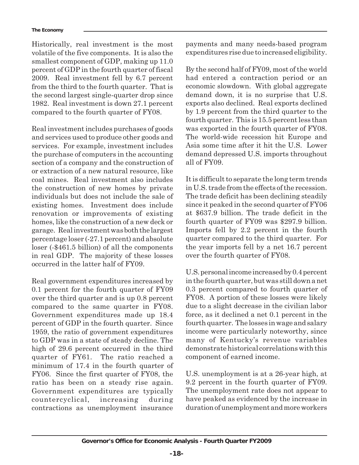#### **The Economy**

Historically, real investment is the most volatile of the five components. It is also the smallest component of GDP, making up 11.0 percent of GDP in the fourth quarter of fiscal 2009. Real investment fell by 6.7 percent from the third to the fourth quarter. That is the second largest single-quarter drop since 1982. Real investment is down 27.1 percent compared to the fourth quarter of FY08.

Real investment includes purchases of goods and services used to produce other goods and services. For example, investment includes the purchase of computers in the accounting section of a company and the construction of or extraction of a new natural resource, like coal mines. Real investment also includes the construction of new homes by private individuals but does not include the sale of existing homes. Investment does include renovation or improvements of existing homes, like the construction of a new deck or garage. Real investment was both the largest percentage loser (-27.1 percent) and absolute loser (-\$461.5 billion) of all the components in real GDP. The majority of these losses occurred in the latter half of FY09.

Real government expenditures increased by 0.1 percent for the fourth quarter of FY09 over the third quarter and is up 0.8 percent compared to the same quarter in FY08. Government expenditures made up 18.4 percent of GDP in the fourth quarter. Since 1959, the ratio of government expenditures to GDP was in a state of steady decline. The high of 29.6 percent occurred in the third quarter of FY61. The ratio reached a minimum of 17.4 in the fourth quarter of FY06. Since the first quarter of FY08, the ratio has been on a steady rise again. Government expenditures are typically countercyclical, increasing during contractions as unemployment insurance

payments and many needs-based program expenditures rise due to increased eligibility.

By the second half of FY09, most of the world had entered a contraction period or an economic slowdown. With global aggregate demand down, it is no surprise that U.S. exports also declined. Real exports declined by 1.9 percent from the third quarter to the fourth quarter. This is 15.5 percent less than was exported in the fourth quarter of FY08. The world-wide recession hit Europe and Asia some time after it hit the U.S. Lower demand depressed U.S. imports throughout all of FY09.

It is difficult to separate the long term trends in U.S. trade from the effects of the recession. The trade deficit has been declining steadily since it peaked in the second quarter of FY06 at \$637.9 billion. The trade deficit in the fourth quarter of FY09 was \$297.9 billion. Imports fell by 2.2 percent in the fourth quarter compared to the third quarter. For the year imports fell by a net 16.7 percent over the fourth quarter of FY08.

U.S. personal income increased by 0.4 percent in the fourth quarter, but was still down a net 0.3 percent compared to fourth quarter of FY08. A portion of these losses were likely due to a slight decrease in the civilian labor force, as it declined a net 0.1 percent in the fourth quarter. The losses in wage and salary income were particularly noteworthy, since many of Kentucky's revenue variables demonstrate historical correlations with this component of earned income.

U.S. unemployment is at a 26-year high, at 9.2 percent in the fourth quarter of FY09. The unemployment rate does not appear to have peaked as evidenced by the increase in duration of unemployment and more workers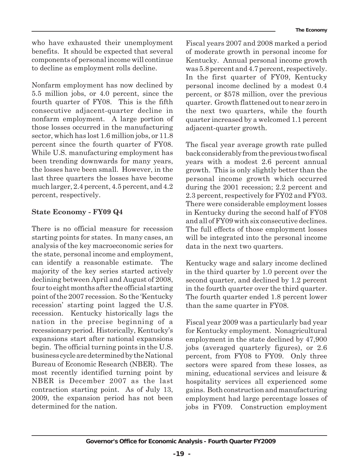to decline as employment rolls decline. was 5.8 percent and 4.7 percent, respectively who have exhausted their unemployment benefits. It should be expected that several components of personal income will continue

Nonfarm employment has now declined by 5.5 million jobs, or 4.0 percent, since the fourth quarter of FY08. This is the fifth consecutive adjacent-quarter decline in nonfarm employment. A large portion of those losses occurred in the manufacturing sector, which has lost 1.6 million jobs, or 11.8 percent since the fourth quarter of FY08. While U.S. manufacturing employment has been trending downwards for many years, the losses have been small. However, in the last three quarters the losses have become much larger, 2.4 percent, 4.5 percent, and 4.2 percent, respectively.

### **State Economy - FY09 Q4**

There is no official measure for recession starting points for states. In many cases, an analysis of the key macroeconomic series for the state, personal income and employment, can identify a reasonable estimate. The majority of the key series started actively declining between April and August of 2008, four to eight months after the official starting point of the 2007 recession. So the 'Kentucky recession' starting point lagged the U.S. recession. Kentucky historically lags the nation in the precise beginning of a recessionary period. Historically, Kentucky's expansions start after national expansions begin. The official turning points in the U.S. business cycle are determined by the National Bureau of Economic Research (NBER). The most recently identified turning point by NBER is December 2007 as the last contraction starting point. As of July 13, 2009, the expansion period has not been determined for the nation.

Fiscal years 2007 and 2008 marked a period of moderate growth in personal income for Kentucky. Annual personal income growth was 5.8 percent and 4.7 percent, respectively. In the first quarter of FY09, Kentucky personal income declined by a modest 0.4 percent, or \$578 million, over the previous quarter. Growth flattened out to near zero in the next two quarters, while the fourth quarter increased by a welcomed 1.1 percent adjacent-quarter growth.

The fiscal year average growth rate pulled back considerably from the previous two fiscal years with a modest 2.6 percent annual growth. This is only slightly better than the personal income growth which occurred during the 2001 recession; 2.2 percent and 2.3 percent, respectively for FY02 and FY03. There were considerable employment losses in Kentucky during the second half of FY08 and all of FY09 with six consecutive declines. The full effects of those employment losses will be integrated into the personal income data in the next two quarters.

Kentucky wage and salary income declined in the third quarter by 1.0 percent over the second quarter, and declined by 1.2 percent in the fourth quarter over the third quarter. The fourth quarter ended 1.8 percent lower than the same quarter in FY08.

Fiscal year 2009 was a particularly bad year for Kentucky employment. Nonagricultural employment in the state declined by 47,900 jobs (averaged quarterly figures), or 2.6 percent, from FY08 to FY09. Only three sectors were spared from these losses, as mining, educational services and leisure & hospitality services all experienced some gains. Both construction and manufacturing employment had large percentage losses of jobs in FY09. Construction employment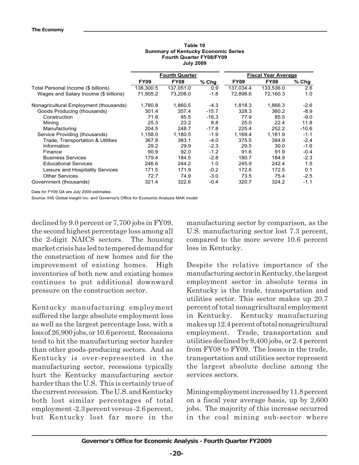|                                        | Fourth Quarter F Y 08/F Y 09<br><b>July 2009</b> |                       |         |             |                            |        |  |  |
|----------------------------------------|--------------------------------------------------|-----------------------|---------|-------------|----------------------------|--------|--|--|
|                                        |                                                  | <b>Fourth Quarter</b> |         |             | <b>Fiscal Year Average</b> |        |  |  |
|                                        | <b>FY09</b>                                      | <b>FY08</b>           | $%$ Chg | <b>FY09</b> | <b>FY08</b>                | % Chg  |  |  |
| Total Personal Income (\$ billions)    | 138,300.5                                        | 137,051.0             | 0.9     | 137,034.4   | 133,536.0                  | 2.6    |  |  |
| Wages and Salary Income (\$ billions)  | 71,905.2                                         | 73,208.0              | $-1.8$  | 72,898.6    | 72,160.3                   | 1.0    |  |  |
| Nonagricultural Employment (thousands) | 1,780.8                                          | 1,860.5               | $-4.3$  | 1.818.3     | 1.866.3                    | -2.6   |  |  |
| Goods Producing (thousands)            | 301.4                                            | 357.4                 | $-15.7$ | 328.3       | 360.2                      | $-8.9$ |  |  |
| Construction                           | 71.6                                             | 85.5                  | $-16.3$ | 77.9        | 85.5                       | $-9.0$ |  |  |
| Mining                                 | 25.3                                             | 23.2                  | 8.8     | 25.0        | 22.4                       | 11.8   |  |  |
| Manufacturing                          | 204.5                                            | 248.7                 | $-17.8$ | 225.4       | 252.2                      | -10.6  |  |  |
| Service Providing (thousands)          | 1.158.0                                          | 1.180.5               | $-1.9$  | 1,169.4     | 1.181.9                    | $-1.1$ |  |  |
| Trade, Transportation & Utilities      | 367.8                                            | 383.1                 | $-4.0$  | 375.5       | 384.9                      | $-2.4$ |  |  |
| Information                            | 29.2                                             | 29.9                  | $-2.3$  | 29.5        | 30.0                       | $-1.6$ |  |  |
| Finance                                | 90.9                                             | 92.0                  | $-1.2$  | 91.6        | 91.9                       | $-0.4$ |  |  |
| <b>Business Services</b>               | 179.4                                            | 184.5                 | $-2.8$  | 180.7       | 184.9                      | $-2.3$ |  |  |
| <b>Educational Services</b>            | 246.6                                            | 244.2                 | 1.0     | 245.9       | 242.4                      | 1.5    |  |  |
| Leisure and Hospitality Services       | 171.5                                            | 171.9                 | $-0.2$  | 172.6       | 172.5                      | 0.1    |  |  |
| <b>Other Services</b>                  | 72.7                                             | 74.9                  | $-3.0$  | 73.5        | 75.4                       | $-2.5$ |  |  |
| Government (thousands)                 | 321.4                                            | 322.6                 | $-0.4$  | 320.7       | 324.2                      | $-1.1$ |  |  |

### **Table 10 Summary of Kentucky Economic Series Fourth Quarter FY08/FY09**

Data for FY09 Q4 are July 2009 estimates.

Source: IHS Global Insight Inc. and Governor's Office for Economic Analysis MAK model

declined by 9.0 percent or 7,700 jobs in FY09, the second highest percentage loss among all the 2-digit NAICS sectors. The housing market crisis has led to tempered demand for the construction of new homes and for the improvement of existing homes. High inventories of both new and existing homes continues to put additional downward pressure on the construction sector.

Kentucky manufacturing employment suffered the large absolute employment loss as well as the largest percentage loss, with a loss of 26,900 jobs, or 10.6 percent. Recessions tend to hit the manufacturing sector harder than other goods-producing sectors. And as Kentucky is over-represented in the manufacturing sector, recessions typically hurt the Kentucky manufacturing sector harder than the U.S. This is certainly true of the current recession. The U.S. and Kentucky both lost similar percentages of total employment -2.3 percent versus -2.6 percent, but Kentucky lost far more in the

manufacturing sector by comparison, as the U.S. manufacturing sector lost 7.3 percent, compared to the more severe 10.6 percent loss in Kentucky.

Despite the relative importance of the manufacturing sector in Kentucky, the largest employment sector in absolute terms in Kentucky is the trade, transportation and utilities sector. This sector makes up 20.7 percent of total nonagricultural employment in Kentucky. Kentucky manufacturing makes up 12.4 percent of total nonagricultural employment. Trade, transportation and utilities declined by 9,400 jobs, or 2.4 percent from FY08 to FY09. The losses in the trade, transportation and utilities sector represent the largest absolute decline among the services sectors.

Mining employment increased by 11.8 percent on a fiscal year average basis, up by 2,600 jobs. The majority of this increase occurred in the coal mining sub-sector where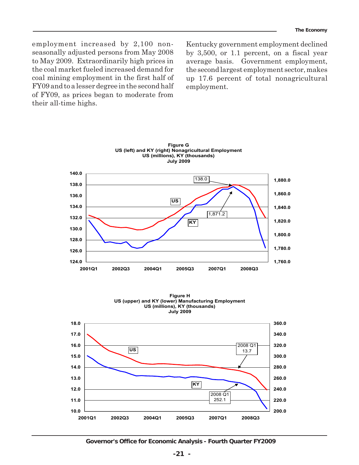the coal market fueled increased demand for the second largest employment sector, make employment increased by 2,100 nonseasonally adjusted persons from May 2008 to May 2009. Extraordinarily high prices in coal mining employment in the first half of FY09 and to a lesser degree in the second half of FY09, as prices began to moderate from their all-time highs.

Kentucky government employment declined by 3,500, or 1.1 percent, on a fiscal year average basis. Government employment, the second largest employment sector, makes up 17.6 percent of total nonagricultural employment.



**Figure G US (left) and KY (right) Nonagricultural Employment**

**Figure H US (upper) and KY (lower) Manufacturing Employment US (millions), KY (thousands) July 2009**

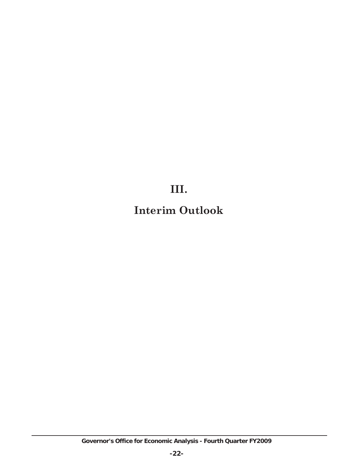# **III.**

**Interim Outlook**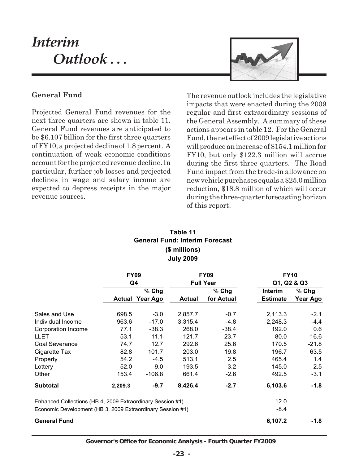*Interim Outlook . . .*

### **General Fund**

Projected General Fund revenues for the next three quarters are shown in table 11. General Fund revenues are anticipated to be \$6.107 billion for the first three quarters of FY10, a projected decline of 1.8 percent. A continuation of weak economic conditions account for the projected revenue decline. In particular, further job losses and projected declines in wage and salary income are expected to depress receipts in the major revenue sources.



The revenue outlook includes the legislative impacts that were enacted during the 2009 regular and first extraordinary sessions of the General Assembly. A summary of these actions appears in table 12. For the General Fund, the net effect of 2009 legislative actions will produce an increase of \$154.1 million for FY10, but only \$122.3 million will accrue during the first three quarters. The Road Fund impact from the trade-in allowance on new vehicle purchases equals a \$25.0 million reduction, \$18.8 million of which will occur during the three-quarter forecasting horizon of this report.

## **July 2009 Table 11 General Fund: Interim Forecast (\$ millions)**

|                                                            | <b>FY09</b> |                        | <b>FY09</b>   |                  | <b>FY10</b>     |                 |  |
|------------------------------------------------------------|-------------|------------------------|---------------|------------------|-----------------|-----------------|--|
|                                                            |             | Q4                     |               | <b>Full Year</b> |                 | Q1, Q2 & Q3     |  |
|                                                            |             | $%$ Chg                |               | $%$ Chg          | Interim         | $%$ Chg         |  |
|                                                            |             | <b>Actual Year Ago</b> | <b>Actual</b> | for Actual       | <b>Estimate</b> | <b>Year Ago</b> |  |
| Sales and Use                                              | 698.5       | $-3.0$                 | 2,857.7       | $-0.7$           | 2,113.3         | $-2.1$          |  |
| Individual Income                                          | 963.6       | $-17.0$                | 3,315.4       | $-4.8$           | 2,248.3         | $-4.4$          |  |
| <b>Corporation Income</b>                                  | 77.1        | $-38.3$                | 268.0         | $-38.4$          | 192.0           | 0.6             |  |
| <b>LLET</b>                                                | 53.1        | 11.1                   | 121.7         | 23.7             | 80.0            | 16.6            |  |
| <b>Coal Severance</b>                                      | 74.7        | 12.7                   | 292.6         | 25.6             | 170.5           | $-21.8$         |  |
| Cigarette Tax                                              | 82.8        | 101.7                  | 203.0         | 19.8             | 196.7           | 63.5            |  |
| Property                                                   | 54.2        | $-4.5$                 | 513.1         | 2.5              | 465.4           | 1.4             |  |
| Lottery                                                    | 52.0        | 9.0                    | 193.5         | 3.2              | 145.0           | 2.5             |  |
| Other                                                      | 153.4       | $-106.8$               | 661.4         | $-2.6$           | 492.5           | $-3.1$          |  |
| <b>Subtotal</b>                                            | 2,209.3     | $-9.7$                 | 8,426.4       | $-2.7$           | 6,103.6         | $-1.8$          |  |
| Enhanced Collections (HB 4, 2009 Extraordinary Session #1) |             |                        |               |                  | 12.0            |                 |  |
| Economic Development (HB 3, 2009 Extraordinary Session #1) |             |                        |               |                  | $-8.4$          |                 |  |
| <b>General Fund</b>                                        |             |                        |               |                  | 6,107.2         | $-1.8$          |  |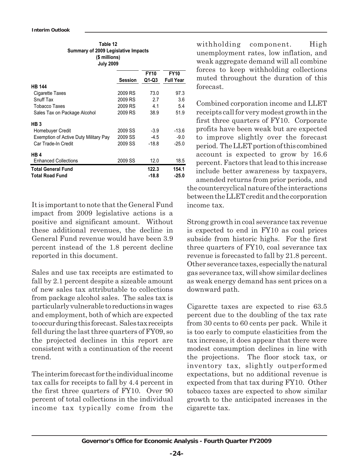| Summary of 2009 Legislative Impacts<br>(\$ millions)<br><b>July 2009</b> |                |                        |                                 |
|--------------------------------------------------------------------------|----------------|------------------------|---------------------------------|
|                                                                          | <b>Session</b> | <b>FY10</b><br>$Q1-Q3$ | <b>FY10</b><br><b>Full Year</b> |
| <b>HB 144</b>                                                            |                |                        |                                 |
| Cigarette Taxes                                                          | 2009 RS        | 73.0                   | 97.3                            |
| Snuff Tax                                                                | 2009 RS        | 2.7                    | 3.6                             |
| <b>Tobacco Taxes</b>                                                     | 2009 RS        | 4.1                    | 5.4                             |
| Sales Tax on Package Alcohol                                             | 2009 RS        | 38.9                   | 51.9                            |
| HB <sub>3</sub>                                                          |                |                        |                                 |
| Homebuyer Credit                                                         | 2009 SS        | $-3.9$                 | $-13.6$                         |
| Exemption of Active Duty Military Pay                                    | 2009 SS        | $-4.5$                 | $-9.0$                          |
| Car Trade-In Credit                                                      | 2009 SS        | $-18.8$                | $-25.0$                         |
| HB <sub>4</sub>                                                          |                |                        |                                 |
| <b>Enhanced Collections</b>                                              | 2009 SS        | 12.0                   | 18.5                            |
| <b>Total General Fund</b><br><b>Total Road Fund</b>                      |                | 122.3<br>$-18.8$       | 154.1<br>$-25.0$                |

**Table 12**

It is important to note that the General Fund impact from 2009 legislative actions is a positive and significant amount. Without these additional revenues, the decline in General Fund revenue would have been 3.9 percent instead of the 1.8 percent decline reported in this document.

Sales and use tax receipts are estimated to fall by 2.1 percent despite a sizeable amount of new sales tax attributable to collections from package alcohol sales. The sales tax is particularly vulnerable to reductions in wages and employment, both of which are expected to occur during this forecast. Sales tax receipts fell during the last three quarters of FY09, so the projected declines in this report are consistent with a continuation of the recent trend.

The interim forecast for the individual income tax calls for receipts to fall by 4.4 percent in the first three quarters of FY10. Over 90 percent of total collections in the individual income tax typically come from the

withholding component. High unemployment rates, low inflation, and weak aggregate demand will all combine forces to keep withholding collections muted throughout the duration of this forecast.

Combined corporation income and LLET receipts call for very modest growth in the first three quarters of FY10. Corporate profits have been weak but are expected to improve slightly over the forecast period. The LLET portion of this combined account is expected to grow by 16.6 percent. Factors that lead to this increase include better awareness by taxpayers, amended returns from prior periods, and the countercyclical nature of the interactions between the LLET credit and the corporation income tax.

Strong growth in coal severance tax revenue is expected to end in FY10 as coal prices subside from historic highs. For the first three quarters of FY10, coal severance tax revenue is forecasted to fall by 21.8 percent. Other severance taxes, especially the natural gas severance tax, will show similar declines as weak energy demand has sent prices on a downward path.

Cigarette taxes are expected to rise 63.5 percent due to the doubling of the tax rate from 30 cents to 60 cents per pack. While it is too early to compute elasticities from the tax increase, it does appear that there were modest consumption declines in line with the projections. The floor stock tax, or inventory tax, slightly outperformed expectations, but no additional revenue is expected from that tax during FY10. Other tobacco taxes are expected to show similar growth to the anticipated increases in the cigarette tax.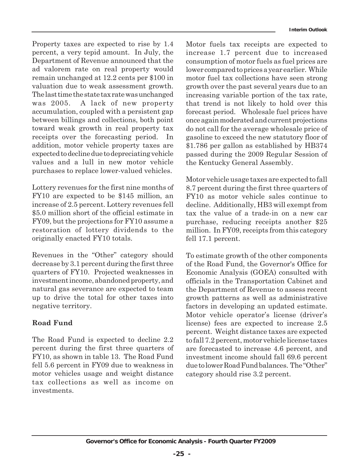**Interim Outlook**

ad valorem rate on real property would lower compared to prices a year earlier. While Property taxes are expected to rise by 1.4 percent, a very tepid amount. In July, the Department of Revenue announced that the remain unchanged at 12.2 cents per \$100 in valuation due to weak assessment growth. The last time the state tax rate was unchanged was 2005. A lack of new property accumulation, coupled with a persistent gap between billings and collections, both point toward weak growth in real property tax receipts over the forecasting period. In addition, motor vehicle property taxes are expected to decline due to depreciating vehicle values and a lull in new motor vehicle purchases to replace lower-valued vehicles.

Lottery revenues for the first nine months of FY10 are expected to be \$145 million, an increase of 2.5 percent. Lottery revenues fell \$5.0 million short of the official estimate in FY09, but the projections for FY10 assume a restoration of lottery dividends to the originally enacted FY10 totals.

Revenues in the "Other" category should decrease by 3.1 percent during the first three quarters of FY10. Projected weaknesses in investment income, abandoned property, and natural gas severance are expected to team up to drive the total for other taxes into negative territory.

# **Road Fund**

The Road Fund is expected to decline 2.2 percent during the first three quarters of FY10, as shown in table 13. The Road Fund fell 5.6 percent in FY09 due to weakness in motor vehicles usage and weight distance tax collections as well as income on investments.

Motor fuels tax receipts are expected to increase 1.7 percent due to increased consumption of motor fuels as fuel prices are lower compared to prices a year earlier. While motor fuel tax collections have seen strong growth over the past several years due to an increasing variable portion of the tax rate, that trend is not likely to hold over this forecast period. Wholesale fuel prices have once again moderated and current projections do not call for the average wholesale price of gasoline to exceed the new statutory floor of \$1.786 per gallon as established by HB374 passed during the 2009 Regular Session of the Kentucky General Assembly.

Motor vehicle usage taxes are expected to fall 8.7 percent during the first three quarters of FY10 as motor vehicle sales continue to decline. Additionally, HB3 will exempt from tax the value of a trade-in on a new car purchase, reducing receipts another \$25 million. In FY09, receipts from this category fell 17.1 percent.

To estimate growth of the other components of the Road Fund, the Governor's Office for Economic Analysis (GOEA) consulted with officials in the Transportation Cabinet and the Department of Revenue to assess recent growth patterns as well as administrative factors in developing an updated estimate. Motor vehicle operator's license (driver's license) fees are expected to increase 2.5 percent. Weight distance taxes are expected to fall 7.2 percent, motor vehicle license taxes are forecasted to increase 4.6 percent, and investment income should fall 69.6 percent due to lower Road Fund balances. The "Other" category should rise 3.2 percent.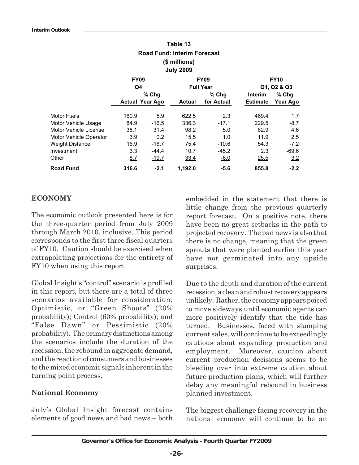|                        |       |                        | таріе тэ                           |                  |                 |                 |  |
|------------------------|-------|------------------------|------------------------------------|------------------|-----------------|-----------------|--|
|                        |       |                        | <b>Road Fund: Interim Forecast</b> |                  |                 |                 |  |
|                        |       |                        | (\$ millions)                      |                  |                 |                 |  |
|                        |       |                        | <b>July 2009</b>                   |                  |                 |                 |  |
|                        |       | <b>FY09</b>            |                                    | <b>FY09</b>      |                 | <b>FY10</b>     |  |
|                        |       | Q4                     |                                    | <b>Full Year</b> | Q1, Q2 & Q3     |                 |  |
|                        |       | % Chg                  |                                    | $%$ Chg          | Interim         | % Chq           |  |
|                        |       | <b>Actual Year Ago</b> | Actual                             | for Actual       | <b>Estimate</b> | <b>Year Ago</b> |  |
| Motor Fuels            | 160.9 | 5.9                    | 622.5                              | 2.3              | 469.4           | 1.7             |  |
| Motor Vehicle Usage    | 84.9  | $-16.5$                | 336.3                              | $-17.1$          | 229.5           | $-8.7$          |  |
| Motor Vehicle License  | 38.1  | 31.4                   | 98.2                               | 5.0              | 62.9            | 4.6             |  |
| Motor Vehicle Operator | 3.9   | 0.2                    | 15.5                               | 1.0              | 11.9            | 2.5             |  |
| <b>Weight Distance</b> | 16.9  | $-16.7$                | 75.4                               | $-10.6$          | 54.3            | $-7.2$          |  |
| Investment             | 3.3   | -44.4                  | 10.7                               | $-45.2$          | 2.3             | $-69.6$         |  |
| Other                  | 8.7   | $-19.7$                | <u>33.4</u>                        | $-6.0$           | 25.5            | 3.2             |  |
| <b>Road Fund</b>       | 316.6 | $-2.1$                 | 1,192.0                            | -5.6             | 855.8           | $-2.2$          |  |

**Table 13**

### **ECONOMY**

The economic outlook presented here is for the three-quarter period from July 2009 through March 2010, inclusive. This period corresponds to the first three fiscal quarters of FY10. Caution should be exercised when extrapolating projections for the entirety of FY10 when using this report

Global Insight's "control" scenario is profiled in this report, but there are a total of three scenarios available for consideration: Optimistic, or "Green Shoots" (20% probability); Control (60% probability); and "False Dawn" or Pessimistic (20% probability). The primary distinctions among the scenarios include the duration of the recession, the rebound in aggregate demand, and the reaction of consumers and businesses to the mixed economic signals inherent in the turning point process.

### **National Economy**

July's Global Insight forecast contains elements of good news and bad news – both

embedded in the statement that there is little change from the previous quarterly report forecast. On a positive note, there have been no great setbacks in the path to projected recovery. The bad news is also that there is no change, meaning that the green sprouts that were planted earlier this year have not germinated into any upside surprises.

Due to the depth and duration of the current recession, a clean and robust recovery appears unlikely. Rather, the economy appears poised to move sideways until economic agents can more positively identify that the tide has turned. Businesses, faced with slumping current sales, will continue to be exceedingly cautious about expanding production and employment. Moreover, caution about current production decisions seems to be bleeding over into extreme caution about future production plans, which will further delay any meaningful rebound in business planned investment.

The biggest challenge facing recovery in the national economy will continue to be an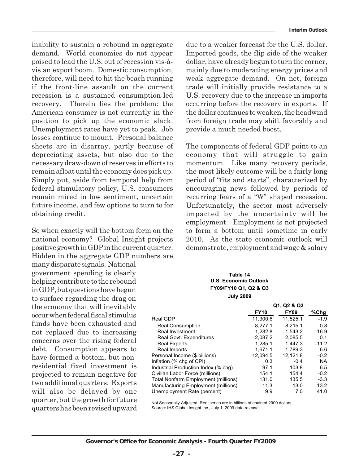vis an export boom. Domestic consumption, mainly due to moderating energy prices and inability to sustain a rebound in aggregate demand. World economies do not appear poised to lead the U.S. out of recession vis-àtherefore, will need to hit the beach running if the front-line assault on the current recession is a sustained consumption-led recovery. Therein lies the problem: the American consumer is not currently in the position to pick up the economic slack. Unemployment rates have yet to peak. Job losses continue to mount. Personal balance sheets are in disarray, partly because of depreciating assets, but also due to the necessary draw-down of reserves in efforts to remain afloat until the economy does pick up. Simply put, aside from temporal help from federal stimulatory policy, U.S. consumers remain mired in low sentiment, uncertain future income, and few options to turn to for obtaining credit.

So when exactly will the bottom form on the national economy? Global Insight projects positive growth in GDP in the current quarter. Hidden in the aggregate GDP numbers are

many disparate signals. National government spending is clearly helping contribute to the rebound in GDP, but questions have begun to surface regarding the drag on the economy that will inevitably occur when federal fiscal stimulus funds have been exhausted and not replaced due to increasing concerns over the rising federal debt. Consumption appears to have formed a bottom, but nonresidential fixed investment is projected to remain negative for two additional quarters. Exports will also be delayed by one quarter, but the growth for future quarters has been revised upward **Interim Outlook**

due to a weaker forecast for the U.S. dollar. Imported goods, the flip-side of the weaker dollar, have already begun to turn the corner, mainly due to moderating energy prices and weak aggregate demand. On net, foreign trade will initially provide resistance to a U.S. recovery due to the increase in imports occurring before the recovery in exports. If the dollar continues to weaken, the headwind from foreign trade may shift favorably and provide a much needed boost.

The components of federal GDP point to an economy that will struggle to gain momentum. Like many recovery periods, the most likely outcome will be a fairly long period of "fits and starts", characterized by encouraging news followed by periods of recurring fears of a "W" shaped recession. Unfortunately, the sector most adversely impacted by the uncertainty will be employment. Employment is not projected to form a bottom until sometime in early 2010. As the state economic outlook will demonstrate, employment and wage & salary

| Table 14                     |
|------------------------------|
| <b>U.S. Economic Outlook</b> |
| FY09/FY10 Q1, Q2 & Q3        |
| <b>July 2009</b>             |

|                                     |             | Q1, Q2 & Q3 |           |
|-------------------------------------|-------------|-------------|-----------|
|                                     | <b>FY10</b> | <b>FY09</b> | %Chg      |
| Real GDP                            | 11,300.6    | 11,525.1    | $-1.9$    |
| <b>Real Consumption</b>             | 8.277.1     | 8.215.1     | 0.8       |
| <b>Real Investment</b>              | 1.282.8     | 1.543.2     | $-16.9$   |
| Real Govt. Expenditures             | 2.087.2     | 2.085.5     | 0.1       |
| <b>Real Exports</b>                 | 1.285.1     | 1.447.3     | $-11.2$   |
| Real Imports                        | 1.671.1     | 1.789.3     | $-6.6$    |
| Personal Income (\$ billions)       | 12.094.5    | 12,121.8    | $-0.2$    |
| Inflation (% chg of CPI)            | 0.3         | $-0.4$      | <b>NA</b> |
| Industrial Production Index (% chg) | 97.1        | 103.8       | $-6.5$    |
| Civilian Labor Force (millions)     | 154.1       | 154.4       | $-0.2$    |
| Total Nonfarm Employment (millions) | 131.0       | 135.5       | $-3.3$    |
| Manufacturing Employment (millions) | 11.3        | 13.0        | $-13.2$   |
| Unemployment Rate (percent)         | 9.9         | 7.0         | 41.0      |
|                                     |             |             |           |

Not Seasonally Adjusted. Real series are in billions of chained 2000 dollars. Source: IHS Global Insight Inc., July 1, 2009 data release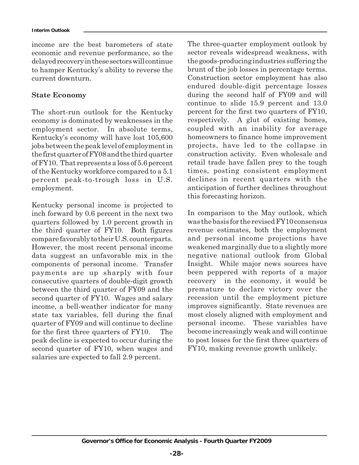income are the best barometers of state economic and revenue performance, so the delayed recovery in these sectors will continue to hamper Kentucky's ability to reverse the current downturn.

### **State Economy**

The short-run outlook for the Kentucky economy is dominated by weaknesses in the employment sector. In absolute terms, Kentucky's economy will have lost 105,600 jobs between the peak level of employment in the first quarter of FY08 and the third quarter of FY10. That represents a loss of 5.6 percent of the Kentucky workforce compared to a 5.1 percent peak-to-trough loss in U.S. employment.

Kentucky personal income is projected to inch forward by 0.6 percent in the next two quarters followed by 1.0 percent growth in the third quarter of FY10. Both figures compare favorably to their U.S. counterparts. However, the most recent personal income data suggest an unfavorable mix in the components of personal income. Transfer payments are up sharply with four consecutive quarters of double-digit growth between the third quarter of FY09 and the second quarter of FY10. Wages and salary income, a bell-weather indicator for many state tax variables, fell during the final quarter of FY09 and will continue to decline for the first three quarters of FY10. The peak decline is expected to occur during the second quarter of FY10, when wages and salaries are expected to fall 2.9 percent.

The three-quarter employment outlook by sector reveals widespread weakness, with the goods-producing industries suffering the brunt of the job losses in percentage terms. Construction sector employment has also endured double-digit percentage losses during the second half of FY09 and will continue to slide 15.9 percent and 13.0 percent for the first two quarters of FY10, respectively. A glut of existing homes, coupled with an inability for average homeowners to finance home improvement projects, have led to the collapse in construction activity. Even wholesale and retail trade have fallen prey to the tough times, posting consistent employment declines in recent quarters with the anticipation of further declines throughout this forecasting horizon.

In comparison to the May outlook, which was the basis for the revised FY10 consensus revenue estimates, both the employment and personal income projections have weakened marginally due to a slightly more negative national outlook from Global Insight. While major news sources have been peppered with reports of a major recovery in the economy, it would be premature to declare victory over the recession until the employment picture improves significantly. State revenues are most closely aligned with employment and personal income. These variables have become increasingly weak and will continue to post losses for the first three quarters of FY10, making revenue growth unlikely.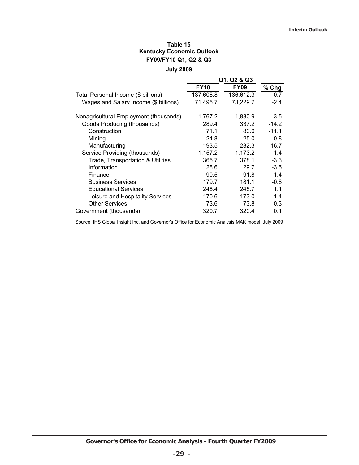#### $\frac{1}{2009}$ **FY09/FY10 Q1, Q2 & Q3 Table 15 Kentucky Economic Outlook**

**July 2009**

|                                        | Q1, Q2 & Q3 |             |         |
|----------------------------------------|-------------|-------------|---------|
|                                        | <b>FY10</b> | <b>FY09</b> | $%$ Chg |
| Total Personal Income (\$ billions)    | 137,608.8   | 136,612.3   | 0.7     |
| Wages and Salary Income (\$ billions)  | 71,495.7    | 73,229.7    | $-2.4$  |
| Nonagricultural Employment (thousands) | 1,767.2     | 1,830.9     | $-3.5$  |
| Goods Producing (thousands)            | 289.4       | 337.2       | $-14.2$ |
| Construction                           | 71.1        | 80.0        | $-11.1$ |
| Mining                                 | 24.8        | 25.0        | $-0.8$  |
| Manufacturing                          | 193.5       | 232.3       | $-16.7$ |
| Service Providing (thousands)          | 1,157.2     | 1,173.2     | $-1.4$  |
| Trade, Transportation & Utilities      | 365.7       | 378.1       | $-3.3$  |
| Information                            | 28.6        | 29.7        | $-3.5$  |
| Finance                                | 90.5        | 91.8        | $-1.4$  |
| <b>Business Services</b>               | 179.7       | 181.1       | $-0.8$  |
| <b>Educational Services</b>            | 248.4       | 245.7       | 1.1     |
| Leisure and Hospitality Services       | 170.6       | 173.0       | $-1.4$  |
| <b>Other Services</b>                  | 73.6        | 73.8        | $-0.3$  |
| Government (thousands)                 | 320.7       | 320.4       | 0.1     |

Source: IHS Global Insight Inc. and Governor's Office for Economic Analysis MAK model, July 2009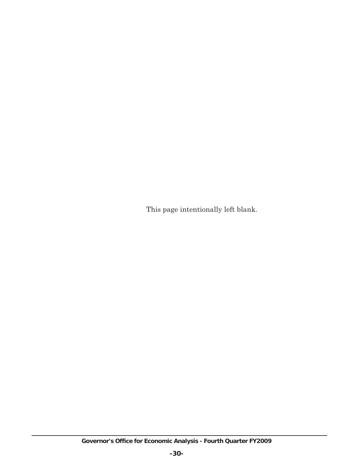This page intentionally left blank.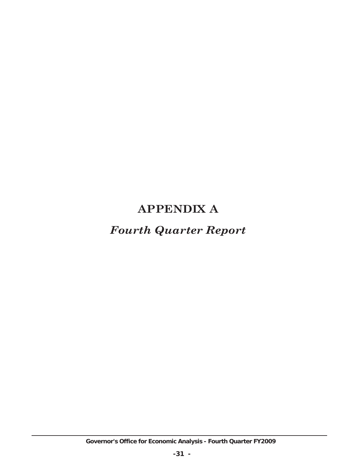# **APPENDIX A**

# *Fourth Quarter Report*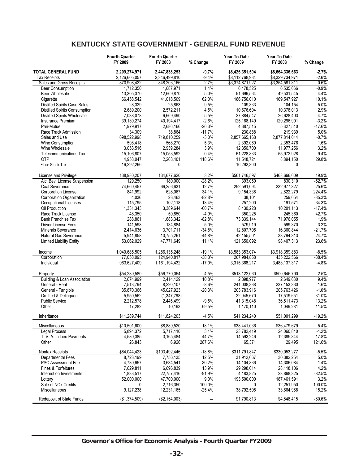|                                        | <b>Fourth Quarter</b><br>FY 2009 | <b>Fourth Quarter</b><br>FY 2008 | % Change   | Year-To-Date<br>FY 2009 | Year-To-Date<br>FY 2008 | % Change   |
|----------------------------------------|----------------------------------|----------------------------------|------------|-------------------------|-------------------------|------------|
| <b>TOTAL GENERAL FUND</b>              | 2,209,274,971                    | 2,447,838,253                    | $-9.7%$    | \$8,426,351,594         | \$8,664,336,663         | $-2.7%$    |
| <b>Tax Receipts</b>                    | 2,126,605,057                    | 2,346,499,810                    | $-9.4%$    | \$8,112,768,934         | \$8,329,734,971         | $-2.6%$    |
| Sales and Gross Receipts               | 870,908,422                      | 848,203,166                      | 2.7%       | \$3,374,871,927         | \$3,354,581,311         | 0.6%       |
| <b>Beer Consumption</b>                | 1,712,350                        | 1,687,971                        | 1.4%       | 6,478,525               | 6,535,066               | $-0.9\%$   |
| Beer Wholesale                         | 13,305,370                       | 12,669,870                       | 5.0%       | 51,696,564              | 49,531,545              | 4.4%       |
| Cigarette                              | 66,458,542                       | 41,018,509                       | 62.0%      | 186,756,010             | 169,547,927             | 10.1%      |
| <b>Distilled Spirits Case Sales</b>    | 28,329                           | 25,863                           | 9.5%       | 109,333                 | 104,154                 | 5.0%       |
| <b>Distilled Spirits Consumption</b>   | 2,689,200                        | 2,572,211                        | 4.5%       | 10,676,604              | 10,378,013              | 2.9%       |
| <b>Distilled Spirits Wholesale</b>     | 7,038,078                        | 6,669,490                        | 5.5%       | 27,884,547              | 26,628,403              | 4.7%       |
| <b>Insurance Premium</b>               | 39.130.274                       | 40,194,417                       | $-2.6%$    | 125, 168, 149           | 129,296,901             | $-3.2%$    |
| Pari-Mutuel                            | 1,979,917                        | 2,686,166                        | $-26.3%$   | 4,387,515               | 5,327,540               | $-17.6%$   |
| Race Track Admission                   | 34,309                           | 38,864                           | $-11.7%$   | 230,888                 | 219,939                 | 5.0%       |
| Sales and Use                          | 698,522,998                      | 719,810,259                      | $-3.0%$    | 2,857,665,168           | 2,877,814,014           | $-0.7%$    |
| <b>Wine Consumption</b>                | 598,418                          | 568,270                          | 5.3%       | 2,392,069               | 2,353,476               | 1.6%       |
| Wine Wholesale                         | 3,053,516                        | 2,939,284                        | 3.9%       | 12,356,700              | 11,977,256              | 3.2%       |
| <b>Telecommunications Tax</b>          | 15,106,807                       | 15,053,592                       | 0.4%       | 61,228,833              | 55,972,928              | 9.4%       |
| <b>OTP</b>                             | 4,958,047                        | 2,268,401                        | 118.6%     | 11,548,724              | 8,894,150               | 29.8%      |
| Floor Stock Tax                        | 16,292,266                       | 0                                | ---        | 16,292,300              | 0                       | $---$      |
| License and Privilege                  | 138,980,207                      | 134,677,620                      | 3.2%       | \$561,746,597           | \$468,666,009           | 19.9%      |
| Alc. Bev. License Suspension           | 129.250                          | 180,000                          | $-28.2%$   | 393,050                 | 830,310                 | $-52.7%$   |
| Coal Severance                         | 74,660,457                       | 66,256,631                       | 12.7%      | 292,591,094             | 232,977,827             | 25.6%      |
| <b>Corporation License</b>             | 841,992                          | 628,067                          | 34.1%      | 9,154,338               | 2,822,279               | 224.4%     |
| Corporation Organization               | 4,036                            | 23,463                           | $-82.8%$   | 38,101                  | 259,654                 | $-85.3%$   |
| Occupational Licenses                  | 115,795                          | 102,118                          | 13.4%      | 257,200                 | 191,571                 | 34.3%      |
| Oil Production                         | 1,331,343                        | 3,389,644                        | $-60.7%$   | 8,430,228               | 10,201,113              | $-17.4%$   |
| Race Track License                     | 48,350                           | 50,850                           | $-4.9%$    | 350,225                 | 245,360                 | 42.7%      |
| <b>Bank Franchise Tax</b>              | 288,861                          | 1,683,342                        | $-82.8%$   | 73.339.144              | 71,976,055              | 1.9%       |
| <b>Driver License Fees</b>             | 141,598                          | 134,884                          | 5.0%       | 579,919                 | 599,370                 | $-3.2%$    |
| <b>Minerals Severance</b>              | 2,414,636                        | 3,701,711                        | $-34.8%$   | 12,807,705              | 16,360,844              | $-21.7%$   |
| Natural Gas Severance                  | 5,941,858                        | 10,755,261                       | $-44.8%$   | 42, 155, 501            | 33,794,313              | 24.7%      |
| <b>Limited Liability Entity</b>        | 53,062,029                       | 47,771,649                       | 11.1%      | 121,650,092             | 98,407,313              | 23.6%      |
| Income                                 | 1,040,685,505                    | 1,286,135,248                    | $-19.1%$   | \$3,583,353,074         | \$3,918,359,883         | $-8.5%$    |
| Corporation                            | 77,058,095                       | 124,940,817                      | $-38.3%$   | 267,984,858             | 435,222,566             | $-38.4%$   |
| Individual                             | 963,627,409                      | 1,161,194,432                    | $-17.0%$   | 3,315,368,217           | 3,483,137,317           | $-4.8%$    |
|                                        |                                  |                                  |            |                         |                         |            |
| Property                               | \$54,239,580                     | \$56,770,054                     | $-4.5%$    | \$513,122,060           | \$500,646,790           | 2.5%       |
| <b>Building &amp; Loan Association</b> | 2,674,999                        | 2,414,129                        | 10.8%      | 2,898,977               | 2,649,630               | 9.4%       |
| General - Real                         | 7,513,794                        | 8,220,107                        | $-8.6%$    | 241,008,338             | 237, 153, 330           | 1.6%       |
| General - Tangible                     | 35,870,366                       | 45,027,923                       | $-20.3%$   | 203,783,916             | 205,763,426             | $-1.0%$    |
| Omitted & Delinquent                   | 5,950,562                        | (1,347,798)                      | ---        | 22,945,670              | 17,519,651              | 31.0%      |
| <b>Public Service</b>                  | 2,212,578                        | 2,445,499                        | $-9.5%$    | 41,315,048              | 36,511,473              | 13.2%      |
| Other                                  | 17,282                           | 10,193                           | 69.5%      | 1,170,110               | 1,049,281               | 11.5%      |
| Inheritance                            | \$11,289,744                     | \$11.824.203                     | $-4.5%$    | \$41,234,240            | \$51,001,299            | $-19.2%$   |
| Miscellaneous                          | \$10,501,600                     | \$8,889,520                      | 18.1%      | \$38,441,036            | \$36,479,679            | 5.4%       |
| <b>Legal Process</b>                   | 5,894,372                        | 5,717,110                        | 3.1%       | 23,782,419              | 24,060,840              | $-1.2%$    |
| T. V. A. In Lieu Payments              | 4,580,385                        | 3,165,484                        | 44.7%      | 14,593,246              | 12,389,344              | 17.8%      |
| Other                                  | 26,843                           | 6,926                            | 287.6%     | 65,371                  | 29,495                  | 121.6%     |
| Nontax Receipts                        | \$84,044,423                     | \$103,492,446                    | $-18.8%$   | \$311,791,847           | \$330,053,277           | $-5.5%$    |
| <b>Departmental Fees</b>               | 8,723,199                        | 7,756,135                        | 12.5%      | 31,912,667              | 30,382,254              | 5.0%       |
| <b>PSC Assessment Fee</b>              | 4,730,657                        | 3,634,541                        | 30.2%      | 14,104,836              | 14,306,084              | $-1.4%$    |
| Fines & Forfeitures                    | 7,629,811                        | 6,696,839                        | 13.9%      | 29,298,014              | 28,118,106              | 4.2%       |
| Interest on Investments                | 1,833,517                        | 22,757,416                       | $-91.9%$   | 4,183,825               | 23,868,325              | $-82.5%$   |
| Lottery                                | 52,000,000                       | 47,700,000                       | 9.0%       | 193,500,000             | 187,461,591             | 3.2%       |
| Sale of NO <sub>x</sub> Credits        | 0                                | 2,716,350                        | $-100.0\%$ | 0                       | 12,251,950              | $-100.0\%$ |
| Miscellaneous                          | 9,127,238                        | 12,231,165                       | $-25.4%$   | 38,792,505              | 33,664,968              | 15.2%      |
| Redeposit of State Funds               | ( \$1,374,509)                   | (\$2, 154, 003)                  | ---        | \$1,790,813             | \$4,548,415             | $-60.6%$   |

### **KENTUCKY STATE GOVERNMENT - GENERAL FUND REVENUE**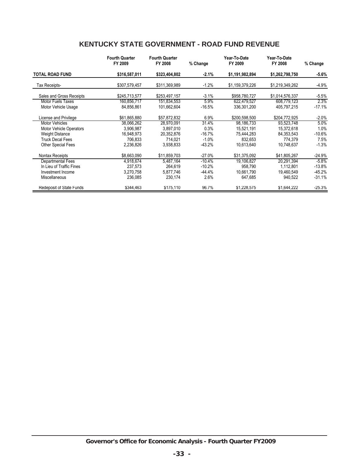|                                | <b>Fourth Quarter</b><br>FY 2009 | <b>Fourth Quarter</b><br>FY 2008 | % Change  | Year-To-Date<br>FY 2009 | Year-To-Date<br>FY 2008 | % Change |
|--------------------------------|----------------------------------|----------------------------------|-----------|-------------------------|-------------------------|----------|
| <b>TOTAL ROAD FUND</b>         | \$316,587,011                    | \$323,404,802                    | $-2.1\%$  | \$1,191,982,894         | \$1,262,798,750         | $-5.6%$  |
| Tax Receipts-                  | \$307,579,457                    | \$311,369,989                    | $-1.2%$   | \$1,159,379,226         | \$1,219,349,262         | $-4.9%$  |
| Sales and Gross Receipts       | \$245,713,577                    | \$253,497,157                    | $-3.1%$   | \$958,780,727           | \$1,014,576,337         | $-5.5%$  |
| Motor Fuels Taxes              | 160,856,717                      | 151,834,553                      | 5.9%      | 622,479,527             | 608,779,123             | 2.3%     |
| Motor Vehicle Usage            | 84,856,861                       | 101,662,604                      | $-16.5%$  | 336,301,200             | 405,797,215             | $-17.1%$ |
| License and Privilege          | \$61,865,880                     | \$57,872,832                     | 6.9%      | \$200,598,500           | \$204,772,925           | $-2.0%$  |
| <b>Motor Vehicles</b>          | 38,066,262                       | 28,970,091                       | 31.4%     | 98,186,733              | 93,523,748              | 5.0%     |
| <b>Motor Vehicle Operators</b> | 3,906,987                        | 3.897.010                        | 0.3%      | 15,521,191              | 15,372,618              | 1.0%     |
| <b>Weight Distance</b>         | 16,948,973                       | 20,352,876                       | $-16.7%$  | 75,444,283              | 84, 353, 543            | $-10.6%$ |
| <b>Truck Decal Fees</b>        | 706.833                          | 714.021                          | $-1.0%$   | 832.653                 | 774.379                 | 7.5%     |
| <b>Other Special Fees</b>      | 2,236,826                        | 3,938,833                        | $-43.2%$  | 10,613,640              | 10,748,637              | $-1.3%$  |
| Nontax Receipts                | \$8,663,090                      | \$11,859,703                     | $-27.0\%$ | \$31,375,092            | \$41,805,267            | $-24.9%$ |
| Departmental Fees              | 4,918,674                        | 5,487,164                        | $-10.4%$  | 19,106,827              | 20,291,394              | $-5.8%$  |
| In Lieu of Traffic Fines       | 237,573                          | 264,619                          | $-10.2%$  | 958,790                 | 1,112,801               | $-13.8%$ |
| Investment Income              | 3,270,758                        | 5,877,746                        | $-44.4%$  | 10,661,790              | 19,460,549              | $-45.2%$ |
| <b>Miscellaneous</b>           | 236,085                          | 230,174                          | 2.6%      | 647,685                 | 940,522                 | $-31.1%$ |
| Redeposit of State Funds       | \$344,463                        | \$175,110                        | 96.7%     | \$1,228,575             | \$1,644,222             | $-25.3%$ |

### **KENTUCKY STATE GOVERNMENT - ROAD FUND REVENUE**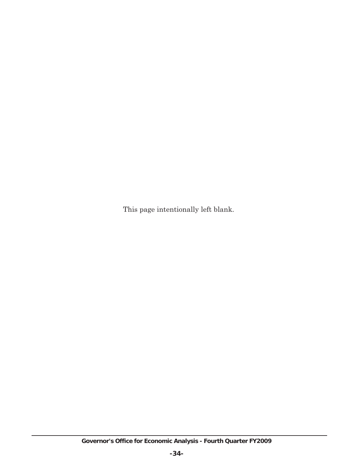This page intentionally left blank.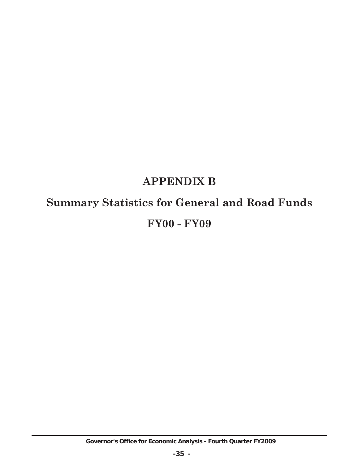# **APPENDIX B**

# **Summary Statistics for General and Road Funds FY00 - FY09**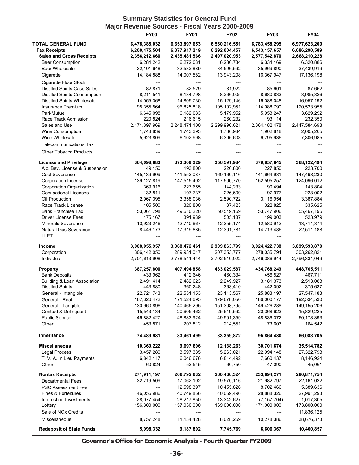#### **Summary Statistics for General Fund Major Revenue Sources - Fiscal Years 2000-2009**

|                                        | <b>FY00</b>   | <b>FY01</b>   | <b>FY02</b>   | <b>FY03</b>   | <b>FY04</b>   |
|----------------------------------------|---------------|---------------|---------------|---------------|---------------|
| TOTAL GENERAL FUND                     | 6,478,385,032 | 6,653,897,653 | 6,560,216,551 | 6,783,458,295 | 6,977,623,200 |
| <b>Tax Receipts</b>                    | 6,200,475,504 | 6,377,917,219 | 6,292,004,457 | 6,543,157,657 | 6,686,290,589 |
| <b>Sales and Gross Receipts</b>        | 2,356,212,660 | 2,435,481,566 | 2,497,020,953 | 2,577,542,870 | 2,668,210,228 |
| <b>Beer Consumption</b>                | 6,284,242     | 6,272,031     | 6,286,734     | 6,334,169     | 6,320,886     |
| <b>Beer Wholesale</b>                  | 32,101,648    | 32,582,889    | 34,596,592    | 35,969,890    | 37,439,919    |
| Cigarette                              | 14,184,888    | 14,007,582    | 13,943,208    | 16,367,947    | 17,136,198    |
| Cigarette Floor Stock                  |               |               |               |               |               |
| <b>Distilled Spirits Case Sales</b>    | 82,871        | 82,529        | 81,922        | 85,601        | 87,662        |
| <b>Distilled Spirits Consumption</b>   | 8,211,541     | 8,184,798     | 8,266,005     | 8,680,833     | 8,985,826     |
| <b>Distilled Spirits Wholesale</b>     | 14,055,368    | 14,809,730    | 15,129,146    | 16,088,048    | 16,957,192    |
| Insurance Premium                      | 95,355,564    | 96,825,818    | 105,102,951   | 114,988,790   | 120,523,955   |
| Pari-Mutuel                            | 6,645,098     | 6,182,083     | 5,179,952     | 5,953,247     | 3,629,292     |
| Race Track Admission                   | 220,824       | 216,615       | 260,232       | 193,114       | 232,350       |
| Sales and Use                          | 2,171,397,969 | 2,248,471,100 | 2,299,990,621 | 2,364,182,478 | 2,447,584,698 |
| <b>Wine Consumption</b>                | 1,748,839     | 1,743,393     | 1,786,984     | 1,902,818     | 2,005,265     |
| Wine Wholesale                         | 5,923,809     | 6,102,998     | 6,396,603     | 6,795,936     | 7,306,985     |
| <b>Telecommunications Tax</b>          |               |               |               |               |               |
| <b>Other Tobacco Products</b>          |               |               |               |               |               |
|                                        |               |               |               |               |               |
| <b>License and Privilege</b>           | 364,098,883   | 373,309,229   | 356,591,984   | 379,857,645   | 368,122,494   |
| Alc. Bev. License & Suspension         | 49,150        | 193,800       | 220,800       | 227,850       | 223,700       |
| Coal Severance                         | 145,139,909   | 141,553,087   | 160,160,116   | 141,664,981   | 147,498,230   |
| <b>Corporation License</b>             | 139,127,819   | 147,515,402   | 117,500,770   | 152,595,257   | 124,096,012   |
| Corporation Organization               | 369,916       | 227,655       | 144,233       | 190,494       | 143,804       |
| <b>Occupational Licenses</b>           | 132,811       | 107,737       | 226,609       | 197,977       | 223,002       |
| Oil Production                         | 2,967,395     | 3,358,036     | 2,590,722     | 3,116,954     | 3,387,884     |
| Race Track License                     | 405,500       | 320,800       | 37,423        | 322,825       | 335,625       |
| <b>Bank Franchise Tax</b>              | 53,061,798    | 49,610,220    | 50,549,169    | 53,747,906    | 55,467,195    |
| Driver License Fees                    | 475,167       | 391,939       | 505,187       | 499,003       | 523,979       |
| <b>Minerals Severance</b>              | 13,923,246    | 12,710,667    | 12,355,174    | 12,580,912    | 13,711,874    |
| <b>Natural Gas Severance</b><br>LLET   | 8,446,173     | 17,319,885    | 12,301,781    | 14,713,486    | 22,511,188    |
|                                        |               |               |               |               |               |
| <b>Income</b>                          | 3,008,055,957 | 3,068,472,461 | 2,909,863,799 | 3,024,422,738 | 3,099,593,870 |
| Corporation                            | 306,442,050   | 289,931,017   | 207, 353, 777 | 278,035,794   | 303,262,821   |
| Individual                             | 2,701,613,908 | 2,778,541,444 | 2,702,510,022 | 2,746,386,944 | 2,796,331,049 |
| <b>Property</b>                        | 387,257,800   | 407,494,858   | 433,029,587   | 434,768,249   | 448,765,511   |
| <b>Bank Deposits</b>                   | 433,962       | 412,646       | 460,334       | 456,527       | 467,711       |
| <b>Building &amp; Loan Association</b> | 2,491,414     | 2,482,623     | 2,249,927     | 3,181,373     | 2,513,083     |
| <b>Distilled Spirits</b>               | 443,880       | 360,248       | 363,410       | 442,092       | 375,637       |
| General - Intangible                   | 22,721,743    | 22,551,153    | 23,113,567    | 25,883,197    | 27,547,183    |
| General - Real                         | 167,326,472   | 171,524,695   | 179,678,050   | 186,000,177   | 192,534,530   |
| General - Tangible                     | 130,960,896   | 140,466,295   | 151,308,795   | 149,426,286   | 149,155,206   |
| Omitted & Delinquent                   | 15,543,134    | 20,605,462    | 25,649,592    | 20,368,623    | 15,829,225    |
| <b>Public Service</b>                  | 46,882,427    | 48,883,924    | 49,991,359    | 48,836,372    | 60,178,393    |
| Other                                  | 453,871       | 207,812       | 214,551       | 173,603       | 164,542       |
| <b>Inheritance</b>                     | 74,489,981    | 83,461,499    | 83,359,872    | 95,864,480    | 66,083,705    |
| <b>Miscellaneous</b>                   | 10,360,222    | 9,697,606     | 12,138,263    | 30,701,674    | 35,514,782    |
| Legal Process                          | 3,457,280     | 3,597,385     | 5,263,021     | 22,994,148    | 27,322,798    |
| T. V. A. In Lieu Payments              | 6,842,117     | 6,046,676     | 6,814,492     | 7,660,437     | 8,146,924     |
| Other                                  | 60,824        | 53,545        | 60,750        | 47,090        | 45,061        |
| <b>Nontax Receipts</b>                 | 271,911,197   | 266,792,632   | 260,466,324   | 233,694,271   | 280,871,754   |
| <b>Departmental Fees</b>               | 32,719,509    | 17,062,102    | 19,570,116    | 21,982,797    | 22, 161, 022  |
| <b>PSC Assessment Fee</b>              |               | 12,598,397    | 10,455,826    | 8,702,466     | 5,389,636     |
| Fines & Forfeitures                    | 46,056,986    | 40,749,856    | 40,069,496    | 28,888,326    | 27,991,293    |
| Interest on Investments                | 28,077,454    | 28,217,850    | 13,342,627    | (7, 157, 704) | 1,017,305     |
| Lottery                                | 156,300,000   | 157,030,000   | 169,000,000   | 171,000,000   | 173,800,000   |
| Sale of NO <sub>x</sub> Credits        |               |               |               |               | 11,836,125    |
| Miscellaneous                          | 8,757,248     | 11,134,428    | 8,028,259     | 10,278,386    | 38,676,373    |
| <b>Redeposit of State Funds</b>        | 5,998,332     | 9,187,802     | 7,745,769     | 6,606,367     | 10,460,857    |

**Governor's Office for Economic Analysis - Fourth Quarter FY2009**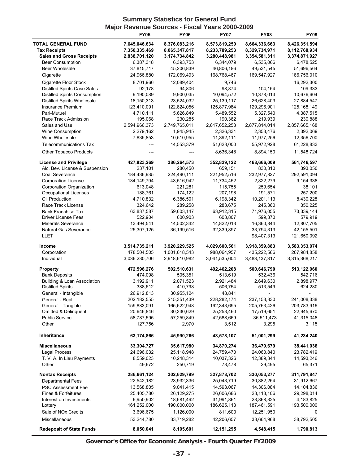#### **Summary Statistics for General Fund Major Revenue Sources - Fiscal Years 2000-2009**

|                                        | <b>FY05</b>   | <b>FY06</b>      | <b>FY07</b>   | <b>FY08</b>   | <b>FY09</b>   |
|----------------------------------------|---------------|------------------|---------------|---------------|---------------|
| <b>TOTAL GENERAL FUND</b>              | 7,645,046,634 | 8,376,083,216    | 8,573,819,250 | 8,664,336,663 | 8,426,351,594 |
| <b>Tax Receipts</b>                    | 7,350,335,469 | 8,065,347,817    | 8,233,789,253 | 8,329,734,971 | 8,112,768,934 |
| <b>Sales and Gross Receipts</b>        | 2,838,701,120 | 3, 174, 734, 842 | 3,280,448,981 | 3,354,581,311 | 3,374,871,927 |
| <b>Beer Consumption</b>                | 6,387,318     | 6,393,753        | 6,344,079     | 6,535,066     | 6,478,525     |
| Beer Wholesale                         | 37,815,717    | 45,206,839       | 46,806,186    | 49,531,545    | 51,696,564    |
| Cigarette                              | 24,966,880    | 172,069,493      | 168,768,467   | 169,547,927   | 186,756,010   |
| <b>Cigarette Floor Stock</b>           | 8,701,966     | 12,089,404       | 9,746         |               | 16,292,300    |
| <b>Distilled Spirits Case Sales</b>    | 92,178        | 94,806           | 98,874        | 104,154       | 109,333       |
| <b>Distilled Spirits Consumption</b>   | 9,190,089     | 9,900,035        | 10,094,572    | 10,378,013    | 10,676,604    |
| <b>Distilled Spirits Wholesale</b>     | 18,150,313    | 23,524,032       | 25,139,117    | 26,628,403    | 27,884,547    |
| Insurance Premium                      | 123,410,091   | 122,824,056      | 125,877,984   | 129,296,901   | 125, 168, 149 |
| Pari-Mutuel                            | 4,710,111     | 5,626,849        | 5,489,552     | 5,327,540     | 4,387,515     |
| Race Track Admission                   | 195,068       | 230,285          | 190,362       | 219,939       | 230,888       |
| Sales and Use                          | 2,594,966,373 | 2,749,765,011    | 2,817,652,253 | 2,877,814,014 | 2,857,665,168 |
| <b>Wine Consumption</b>                | 2,279,162     | 1,945,945        | 2,326,331     | 2,353,476     | 2,392,069     |
| Wine Wholesale                         | 7,835,853     | 10,510,955       | 11,392,111    | 11,977,256    | 12,356,700    |
| <b>Telecommunications Tax</b>          |               | 14,553,379       | 51,623,000    | 55,972,928    | 61,228,833    |
|                                        |               |                  |               |               |               |
| <b>Other Tobacco Products</b>          |               |                  | 8,636,348     | 8,894,150     | 11,548,724    |
| <b>License and Privilege</b>           | 427,823,269   | 386,264,573      | 352,829,122   | 468,666,009   | 561,746,597   |
| Alc. Bev. License & Suspension         | 237,101       | 280,450          | 659,151       | 830,310       | 393,050       |
| Coal Severance                         | 184,436,935   | 224,490,111      | 221,952,516   | 232,977,827   | 292,591,094   |
| <b>Corporation License</b>             | 134,149,794   | 43,516,942       | 11,734,452    | 2,822,279     | 9,154,338     |
| Corporation Organization               | 613,048       | 221,281          | 115,755       | 259,654       | 38,101        |
| <b>Occupational Licenses</b>           | 188,761       | 174,122          | 207,198       | 191,571       | 257,200       |
| Oil Production                         | 4,710,832     | 6,386,501        | 6,198,342     | 10,201,113    | 8,430,228     |
| Race Track License                     | 324,642       | 289,258          | 283,675       | 245,360       | 350,225       |
| <b>Bank Franchise Tax</b>              | 63,837,587    | 59,603,147       | 63,912,315    | 71,976,055    | 73,339,144    |
| <b>Driver License Fees</b>             | 522,904       | 600,903          | 603,807       | 599,370       | 579,919       |
| <b>Minerals Severance</b>              | 13,494,541    | 14,502,342       | 14,822,013    | 16,360,844    | 12,807,705    |
| <b>Natural Gas Severance</b>           | 25,307,125    | 36,199,516       | 32,339,897    | 33,794,313    | 42,155,501    |
| LLET                                   |               |                  |               | 98,407,313    | 121,650,092   |
| Income                                 | 3,514,735,211 | 3,920,229,525    | 4,029,600,561 | 3,918,359,883 | 3,583,353,074 |
| Corporation                            | 478,504,505   | 1,001,618,543    | 988,064,957   | 435,222,566   | 267,984,858   |
| Individual                             | 3,036,230,706 | 2,918,610,982    | 3,041,535,604 | 3,483,137,317 | 3,315,368,217 |
| Property                               | 472,596,276   | 502,510,631      | 492,462,208   | 500,646,790   | 513,122,060   |
| <b>Bank Deposits</b>                   | 474,098       | 505,351          | 513,619       | 532,436       | 542,716       |
| <b>Building &amp; Loan Association</b> | 3,192,911     | 2,071,523        | 2,921,484     | 2,649,630     | 2,898,977     |
| <b>Distilled Spirits</b>               | 388,612       | 410,798          | 506,754       | 513,549       | 624,280       |
| General - Intangible                   | 26,912,813    | 30,955,124       | 48,841        |               |               |
| General - Real                         | 202,182,555   | 215,351,439      | 228,282,174   | 237, 153, 330 | 241,008,338   |
| General - Tangible                     | 159,883,091   | 165,622,948      | 192,343,695   | 205,763,426   | 203,783,916   |
| <b>Omitted &amp; Delinquent</b>        | 20,646,846    | 30,330,629       | 25,253,460    | 17,519,651    | 22,945,670    |
| <b>Public Service</b>                  | 58,787,595    | 57,259,849       | 42,588,669    | 36,511,473    | 41,315,048    |
| Other                                  | 127,756       | 2,970            | 3,512         | 3,295         | 3,115         |
| Inheritance                            | 63,174,866    | 45,990,266       | 43,578,107    | 51,001,299    | 41,234,240    |
| <b>Miscellaneous</b>                   | 33,304,727    | 35,617,980       | 34,870,274    | 36,479,679    | 38,441,036    |
| Legal Process                          | 24,696,032    | 25,118,948       | 24,759,470    | 24,060,840    | 23,782,419    |
| T. V. A. In Lieu Payments              | 8,559,023     | 10,248,314       | 10,037,326    | 12,389,344    | 14,593,246    |
| Other                                  | 49,672        | 250,719          | 73,478        | 29,495        | 65,371        |
| <b>Nontax Receipts</b>                 | 286,661,124   | 302,629,799      | 327,878,702   | 330,053,277   | 311,791,847   |
| <b>Departmental Fees</b>               | 22,542,182    | 23,932,336       | 25,043,719    | 30,382,254    | 31,912,667    |
| <b>PSC Assessment Fee</b>              | 13,568,805    | 9,041,415        | 14,593,067    | 14,306,084    | 14,104,836    |
| Fines & Forfeitures                    | 25,405,780    | 26,129,275       | 26,606,686    | 28,118,106    | 29,298,014    |
| Interest on Investments                | 6,950,902     | 18,681,492       | 31,991,861    | 23,868,325    | 4,183,825     |
| Lottery                                | 161,252,000   | 190,000,000      | 186,625,113   | 187,461,591   | 193,500,000   |
| Sale of NO <sub>x</sub> Credits        | 3,696,675     | 1,126,000        | 811,600       | 12,251,950    | 0             |
| Miscellaneous                          | 53,244,780    | 33,719,282       | 42,206,657    | 33,664,968    | 38,792,505    |
| <b>Redeposit of State Funds</b>        | 8,050,041     | 8,105,601        | 12,151,295    | 4,548,415     | 1,790,813     |
|                                        |               |                  |               |               |               |

**Governor's Office for Economic Analysis - Fourth Quarter FY2009**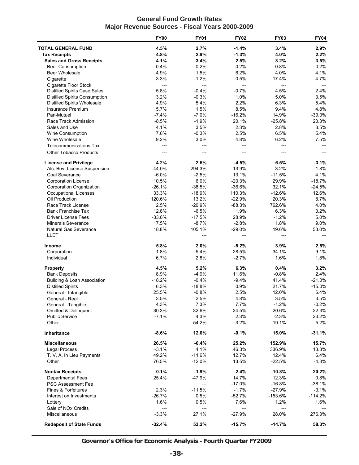### **General Fund Growth Rates Major Revenue Sources - Fiscal Years 2000-2009**

|                                                         | <b>FY00</b>    | <b>FY01</b>  | <b>FY02</b>              | <b>FY03</b>  | <b>FY04</b>              |
|---------------------------------------------------------|----------------|--------------|--------------------------|--------------|--------------------------|
| <b>TOTAL GENERAL FUND</b>                               | 4.5%           | 2.7%         | $-1.4%$                  | 3.4%         | 2.9%                     |
| <b>Tax Receipts</b>                                     | 4.8%           | 2.9%         | $-1.3%$                  | 4.0%         | 2.2%                     |
| <b>Sales and Gross Receipts</b>                         | 4.1%           | 3.4%         | 2.5%                     | 3.2%         | 3.5%                     |
| <b>Beer Consumption</b>                                 | 0.4%           | $-0.2%$      | 0.2%                     | 0.8%         | $-0.2%$                  |
| <b>Beer Wholesale</b>                                   | 4.9%           | 1.5%         | 6.2%                     | 4.0%         | 4.1%                     |
| Cigarette                                               | $-3.3%$        | $-1.2%$      | $-0.5%$                  | 17.4%        | 4.7%                     |
| Cigarette Floor Stock                                   | ---            | ---          | $\overline{\phantom{a}}$ | ---          | $\hspace{0.05cm} \ldots$ |
| <b>Distilled Spirits Case Sales</b>                     | 5.8%           | $-0.4%$      | $-0.7%$                  | 4.5%         | 2.4%                     |
| <b>Distilled Spirits Consumption</b>                    | 3.2%           | $-0.3%$      | 1.0%                     | 5.0%         | 3.5%                     |
| <b>Distilled Spirits Wholesale</b>                      | 4.9%           | 5.4%         | 2.2%                     | 6.3%         | 5.4%                     |
| Insurance Premium                                       | 5.7%           | 1.5%         | 8.5%                     | 9.4%         | 4.8%                     |
| Pari-Mutuel                                             | $-7.4%$        | $-7.0%$      | $-16.2%$                 | 14.9%        | $-39.0%$                 |
| Race Track Admission                                    | $-8.5%$        | $-1.9%$      | 20.1%                    | $-25.8%$     | 20.3%                    |
| Sales and Use                                           | 4.1%           | 3.5%         | 2.3%                     | 2.8%         | 3.5%                     |
| <b>Wine Consumption</b>                                 | 7.6%           | $-0.3%$      | 2.5%                     | 6.5%         | 5.4%                     |
| Wine Wholesale                                          | 9.2%           | 3.0%         | 4.8%                     | 6.2%         | 7.5%                     |
| Telecommunications Tax                                  | ---            | ---          | ---                      | $---$        | $---$                    |
|                                                         |                |              |                          |              |                          |
| <b>Other Tobacco Products</b>                           | ---            |              | $\overline{a}$           | $---$        | $---$                    |
| <b>License and Privilege</b>                            | 4.2%           | 2.5%         | $-4.5%$                  | 6.5%         | $-3.1%$                  |
| Alc. Bev. License Suspension                            | $-44.0%$       | 294.3%       | 13.9%                    | 3.2%         | $-1.8%$                  |
| Coal Severance                                          | $-6.0%$        | $-2.5%$      | 13.1%                    | $-11.5%$     | 4.1%                     |
| <b>Corporation License</b>                              | 10.5%          | 6.0%         | $-20.3%$                 | 29.9%        | $-18.7%$                 |
| <b>Corporation Organization</b>                         | $-26.1%$       | $-38.5%$     | $-36.6%$                 | 32.1%        | $-24.5%$                 |
| <b>Occupational Licenses</b>                            | 33.3%          | $-18.9%$     | 110.3%                   | $-12.6%$     | 12.6%                    |
| Oil Production                                          | 120.6%         | 13.2%        | $-22.9%$                 | 20.3%        | 8.7%                     |
| Race Track License                                      | 2.5%           | $-20.9%$     | $-88.3%$                 | 762.6%       | 4.0%                     |
| <b>Bank Franchise Tax</b>                               | 12.8%          | $-6.5%$      | 1.9%                     | 6.3%         | 3.2%                     |
| <b>Driver License Fees</b>                              | $-33.8%$       | $-17.5%$     | 28.9%                    | $-1.2%$      | 5.0%                     |
| <b>Minerals Severance</b>                               | 17.5%          | $-8.7%$      | $-2.8%$                  | 1.8%         | 9.0%                     |
| <b>Natural Gas Severance</b>                            | 18.8%          | 105.1%       | $-29.0%$                 | 19.6%        | 53.0%                    |
| LLET                                                    |                | ---          | ---                      | ---          | $---$                    |
| <b>Income</b>                                           | 5.8%           | 2.0%         | $-5.2%$                  | 3.9%         | 2.5%                     |
| Corporation                                             | $-1.8%$        | $-5.4%$      | $-28.5%$                 | 34.1%        | 9.1%                     |
| Individual                                              | 6.7%           | 2.8%         | $-2.7%$                  | 1.6%         | 1.8%                     |
|                                                         |                |              |                          |              |                          |
| <b>Property</b>                                         | 4.5%           | 5.2%         | 6.3%                     | 0.4%         | 3.2%                     |
| <b>Bank Deposits</b>                                    | 8.9%           | $-4.9%$      | 11.6%                    | $-0.8%$      | 2.4%                     |
| <b>Building &amp; Loan Association</b>                  | $-18.2%$       | $-0.4%$      | $-9.4%$                  | 41.4%        | $-21.0%$                 |
| <b>Distilled Spirits</b>                                | 6.3%           | $-18.8%$     | 0.9%                     | 21.7%        | $-15.0%$                 |
| General - Intangible                                    | 25.5%          | $-0.8%$      | 2.5%                     | 12.0%        | 6.4%                     |
| General - Real                                          | 3.5%           | 2.5%         | 4.8%                     | 3.5%         | 3.5%                     |
| General - Tangible                                      | 4.3%           | 7.3%         | 7.7%                     | $-1.2%$      | $-0.2%$                  |
| <b>Omitted &amp; Delinquent</b>                         | 30.3%          | 32.6%        | 24.5%                    | $-20.6%$     | $-22.3%$                 |
| <b>Public Service</b>                                   | $-7.1%$        | 4.3%         | 2.3%                     | $-2.3%$      | 23.2%                    |
| Other                                                   | ---            | $-54.2%$     | 3.2%                     | $-19.1%$     | $-5.2%$                  |
| Inheritance                                             | $-8.6%$        | 12.0%        | $-0.1%$                  | 15.0%        | $-31.1%$                 |
| <b>Miscellaneous</b>                                    | 26.5%          | $-6.4%$      | 25.2%                    | 152.9%       | 15.7%                    |
| <b>Legal Process</b>                                    | $-3.1%$        | 4.1%         | 46.3%                    | 336.9%       | 18.8%                    |
| T. V. A. In Lieu Payments                               | 49.2%          | $-11.6%$     | 12.7%                    | 12.4%        | 6.4%                     |
| Other                                                   | 76.5%          | $-12.0%$     | 13.5%                    | $-22.5%$     | $-4.3%$                  |
| <b>Nontax Receipts</b>                                  | $-0.1%$        | $-1.9%$      | $-2.4%$                  | $-10.3%$     | 20.2%                    |
|                                                         |                | $-47.9%$     |                          |              |                          |
| <b>Departmental Fees</b>                                | 25.4%          |              | 14.7%                    | 12.3%        | 0.8%                     |
| <b>PSC Assessment Fee</b>                               |                | ---          | $-17.0%$                 | $-16.8%$     | $-38.1%$                 |
| Fines & Forfeitures                                     | 2.3%           | $-11.5%$     | $-1.7%$                  | $-27.9%$     | $-3.1%$                  |
| Interest on Investments                                 | $-26.7%$       | 0.5%         | $-52.7%$                 | $-153.6%$    | $-114.2%$                |
| Lottery                                                 | 1.6%           | 0.5%         | 7.6%                     | 1.2%         | 1.6%                     |
| Sale of NO <sub>x</sub> Credits<br><b>Miscellaneous</b> | ---<br>$-3.3%$ | ---<br>27.1% | ---<br>$-27.9%$          | ---<br>28.0% | 276.3%                   |
|                                                         | $-32.4%$       | 53.2%        | $-15.7%$                 | $-14.7%$     | 58.3%                    |
| <b>Redeposit of State Funds</b>                         |                |              |                          |              |                          |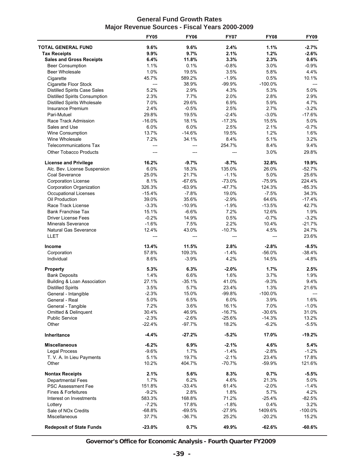### **General Fund Growth Rates Major Revenue Sources - Fiscal Years 2000-2009**

|                                        | <b>FY05</b>             | <b>FY06</b>         | <b>FY07</b>       | <b>FY08</b>         | <b>FY09</b>      |
|----------------------------------------|-------------------------|---------------------|-------------------|---------------------|------------------|
| <b>TOTAL GENERAL FUND</b>              | 9.6%                    | 9.6%                | 2.4%              | 1.1%                | $-2.7%$          |
| <b>Tax Receipts</b>                    | 9.9%                    | 9.7%                | 2.1%              | 1.2%                | $-2.6%$          |
| <b>Sales and Gross Receipts</b>        | 6.4%                    | 11.8%               | 3.3%              | 2.3%                | 0.6%             |
| <b>Beer Consumption</b>                | 1.1%                    | 0.1%                | $-0.8%$           | 3.0%                | $-0.9%$          |
| <b>Beer Wholesale</b>                  | 1.0%                    | 19.5%               | 3.5%              | 5.8%                | 4.4%             |
| Cigarette                              | 45.7%                   | 589.2%              | $-1.9%$           | 0.5%                | 10.1%            |
| Cigarette Floor Stock                  | $\overline{a}$          | 38.9%               | $-99.9%$          | $-100.0%$           | $---$            |
| <b>Distilled Spirits Case Sales</b>    | 5.2%                    | 2.9%                | 4.3%              | 5.3%                | 5.0%             |
| <b>Distilled Spirits Consumption</b>   | 2.3%                    | 7.7%                | 2.0%              | 2.8%                | 2.9%             |
| <b>Distilled Spirits Wholesale</b>     | 7.0%                    | 29.6%               | 6.9%              | 5.9%                | 4.7%             |
| Insurance Premium                      | 2.4%                    | $-0.5%$             | 2.5%              | 2.7%                | $-3.2%$          |
| Pari-Mutuel                            | 29.8%                   | 19.5%               | $-2.4%$           | $-3.0%$             | $-17.6%$         |
|                                        |                         |                     |                   |                     |                  |
| Race Track Admission                   | $-16.0%$                | 18.1%               | $-17.3%$          | 15.5%               | 5.0%             |
| Sales and Use                          | 6.0%                    | 6.0%                | 2.5%              | 2.1%                | $-0.7%$          |
| Wine Consumption                       | 13.7%                   | $-14.6%$            | 19.5%             | 1.2%                | 1.6%             |
| Wine Wholesale                         | 7.2%                    | 34.1%               | 8.4%              | 5.1%                | 3.2%             |
| <b>Telecommunications Tax</b>          | $---$                   | $---$               | 254.7%            | 8.4%                | 9.4%             |
| <b>Other Tobacco Products</b>          | $---$                   | $---$               | ---               | 3.0%                | 29.8%            |
| <b>License and Privilege</b>           | 16.2%                   | $-9.7%$             | $-8.7%$           | 32.8%               | 19.9%            |
| Alc. Bev. License Suspension           | 6.0%                    | 18.3%               | 135.0%            | 26.0%               | $-52.7%$         |
| Coal Severance                         | 25.0%                   | 21.7%               | $-1.1%$           | 5.0%                | 25.6%            |
| <b>Corporation License</b>             | 8.1%                    | $-67.6%$            | $-73.0%$          | $-75.9%$            | 224.4%           |
| Corporation Organization               | 326.3%                  | $-63.9%$            | $-47.7%$          | 124.3%              | $-85.3%$         |
| Occupational Licenses                  | $-15.4%$                | $-7.8%$             | 19.0%             | $-7.5%$             | 34.3%            |
|                                        |                         |                     |                   |                     |                  |
| Oil Production                         | 39.0%                   | 35.6%               | $-2.9%$           | 64.6%               | $-17.4%$         |
| Race Track License                     | $-3.3%$                 | $-10.9%$            | $-1.9%$           | $-13.5%$            | 42.7%            |
| <b>Bank Franchise Tax</b>              | 15.1%                   | $-6.6%$             | 7.2%              | 12.6%               | 1.9%             |
| <b>Driver License Fees</b>             | $-0.2%$                 | 14.9%               | 0.5%              | $-0.7%$             | $-3.2%$          |
| <b>Minerals Severance</b>              | $-1.6%$                 | 7.5%                | 2.2%              | 10.4%               | $-21.7%$         |
| Natural Gas Severance<br>LLET          | 12.4%<br>$\overline{a}$ | 43.0%<br>$---$      | $-10.7%$<br>---   | 4.5%<br>$---$       | 24.7%<br>23.6%   |
| <b>Income</b>                          | 13.4%                   | 11.5%               | 2.8%              | $-2.8%$             | $-8.5%$          |
| Corporation                            | 57.8%                   | 109.3%              | $-1.4%$           | $-56.0%$            | $-38.4%$         |
| Individual                             | 8.6%                    |                     | 4.2%              |                     | $-4.8%$          |
|                                        |                         | $-3.9%$             |                   | 14.5%               |                  |
| <b>Property</b>                        | 5.3%                    | 6.3%                | $-2.0%$           | 1.7%                | 2.5%             |
| <b>Bank Deposits</b>                   | 1.4%                    | 6.6%                | 1.6%              | 3.7%                | 1.9%             |
| <b>Building &amp; Loan Association</b> | 27.1%                   | $-35.1%$            | 41.0%             | $-9.3%$             | 9.4%             |
| <b>Distilled Spirits</b>               | 3.5%                    | 5.7%                | 23.4%             | 1.3%                | 21.6%            |
| General - Intangible                   | $-2.3%$                 | 15.0%               | $-99.8%$          | $-100.0%$           | ---              |
| General - Real                         | 5.0%                    | 6.5%                | 6.0%              | 3.9%                | 1.6%             |
| General - Tangible                     | 7.2%                    | 3.6%                | 16.1%             | 7.0%                | $-1.0%$          |
| Omitted & Delinquent                   | 30.4%                   | 46.9%               | $-16.7%$          | $-30.6%$            | 31.0%            |
|                                        |                         |                     |                   |                     |                  |
| <b>Public Service</b><br>Other         | $-2.3%$<br>$-22.4%$     | $-2.6%$<br>$-97.7%$ | $-25.6%$<br>18.2% | $-14.3%$<br>$-6.2%$ | 13.2%<br>$-5.5%$ |
| <b>Inheritance</b>                     | $-4.4%$                 | $-27.2%$            | $-5.2%$           | 17.0%               | $-19.2%$         |
| <b>Miscellaneous</b>                   | $-6.2%$                 | 6.9%                | $-2.1%$           | 4.6%                | 5.4%             |
| <b>Legal Process</b>                   | $-9.6%$                 | 1.7%                | $-1.4%$           | $-2.8%$             | $-1.2%$          |
| T. V. A. In Lieu Payments              | 5.1%                    | 19.7%               | $-2.1%$           | 23.4%               | 17.8%            |
| Other                                  | 10.2%                   | 404.7%              | $-70.7%$          | $-59.9%$            | 121.6%           |
|                                        |                         |                     |                   |                     |                  |
| <b>Nontax Receipts</b>                 | 2.1%                    | 5.6%                | 8.3%              | 0.7%                | $-5.5%$          |
| <b>Departmental Fees</b>               | 1.7%                    | 6.2%                | 4.6%              | 21.3%               | 5.0%             |
| <b>PSC Assessment Fee</b>              | 151.8%                  | $-33.4%$            | 61.4%             | $-2.0%$             | $-1.4%$          |
| Fines & Forfeitures                    | $-9.2%$                 | 2.8%                | 1.8%              | 5.7%                | 4.2%             |
| Interest on Investments                | 583.3%                  | 168.8%              | 71.2%             | $-25.4%$            | $-82.5%$         |
| Lottery                                | $-7.2%$                 | 17.8%               | $-1.8%$           | 0.4%                | 3.2%             |
| Sale of NO <sub>x</sub> Credits        | $-68.8%$                | $-69.5%$            | $-27.9%$          | 1409.6%             | $-100.0%$        |
|                                        |                         | $-36.7%$            | 25.2%             | $-20.2%$            | 15.2%            |
| Miscellaneous                          | 37.7%                   |                     |                   |                     |                  |

**Governor's Office for Economic Analysis - Fourth Quarter FY2009**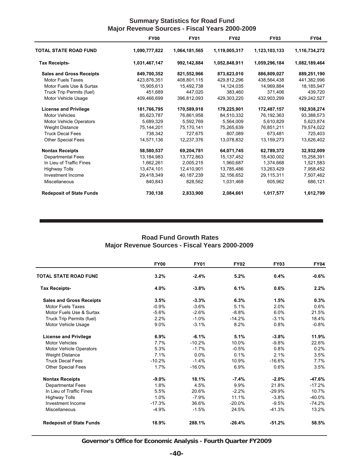### **Summary Statistics for Road Fund Major Revenue Sources - Fiscal Years 2000-2009**

|                                 | <b>FY00</b>   | <b>FY01</b>   | <b>FY02</b>   | <b>FY03</b>   | <b>FY04</b>   |
|---------------------------------|---------------|---------------|---------------|---------------|---------------|
| TOTAL STATE ROAD FUND           | 1,090,777,822 | 1,064,181,565 | 1,119,005,317 | 1,123,103,133 | 1,116,734,272 |
| <b>Tax Receipts-</b>            | 1,031,467,147 | 992,142,884   | 1,052,848,911 | 1,059,296,184 | 1,082,189,464 |
| <b>Sales and Gross Receipts</b> | 849,700,352   | 821,552,966   | 873,623,010   | 886,809,027   | 889,251,190   |
| <b>Motor Fuels Taxes</b>        | 423,876,351   | 408.801.115   | 429.812.296   | 438.564.438   | 441,382,996   |
| Motor Fuels Use & Surtax        | 15,905,613    | 15,492,738    | 14,124,035    | 14,969,884    | 18,185,947    |
| Truck Trip Permits (fuel)       | 451.689       | 447.020       | 383.460       | 371,406       | 439,720       |
| Motor Vehicle Usage             | 409,466,699   | 396,812,093   | 429,303,220   | 432,903,299   | 429,242,527   |
| <b>License and Privilege</b>    | 181,766,795   | 170,589,918   | 179,225,901   | 172,487,157   | 192,938,274   |
| <b>Motor Vehicles</b>           | 85,623,787    | 76.861.958    | 84,510,332    | 76.192.363    | 93,388,573    |
| <b>Motor Vehicle Operators</b>  | 5,689,329     | 5,592,769     | 5,564,009     | 5,610,829     | 5,623,874     |
| <b>Weight Distance</b>          | 75,144,201    | 75,170,141    | 75,265,639    | 76,851,211    | 79,574,022    |
| <b>Truck Decal Fees</b>         | 738,342       | 727,675       | 807,089       | 673,481       | 725,403       |
| <b>Other Special Fees</b>       | 14,571,136    | 12,237,376    | 13,078,832    | 13, 159, 273  | 13,626,402    |
| <b>Nontax Receipts</b>          | 58,580,537    | 69,204,781    | 64,071,745    | 62,789,372    | 32,932,009    |
| <b>Departmental Fees</b>        | 13,184,983    | 13,772,863    | 15, 137, 452  | 18,430,002    | 15,258,391    |
| In Lieu of Traffic Fines        | 1,662,261     | 2,005,215     | 1,960,687     | 1,374,668     | 1,521,583     |
| <b>Highway Tolls</b>            | 13,474,101    | 12,410,901    | 13,785,486    | 13,263,429    | 7,958,452     |
| Investment Income               | 29,418,349    | 40,187,239    | 32,156,652    | 29,115,311    | 7,507,462     |
| Miscellaneous                   | 840,843       | 828,562       | 1,031,468     | 605,962       | 686,121       |
| <b>Redeposit of State Funds</b> | 730,138       | 2,833,900     | 2,084,661     | 1,017,577     | 1,612,799     |

### **Road Fund Growth Rates Major Revenue Sources - Fiscal Years 2000-2009**

|                                 | <b>FY00</b> | <b>FY01</b> | <b>FY02</b> | <b>FY03</b> | <b>FY04</b> |
|---------------------------------|-------------|-------------|-------------|-------------|-------------|
| TOTAL STATE ROAD FUND           | 3.2%        | $-2.4%$     | 5.2%        | 0.4%        | $-0.6%$     |
| <b>Tax Receipts-</b>            | 4.0%        | $-3.8%$     | 6.1%        | 0.6%        | 2.2%        |
| <b>Sales and Gross Receipts</b> | 3.5%        | $-3.3%$     | 6.3%        | 1.5%        | 0.3%        |
| <b>Motor Fuels Taxes</b>        | $-0.9%$     | $-3.6%$     | 5.1%        | 2.0%        | 0.6%        |
| Motor Fuels Use & Surtax        | $-5.6%$     | $-2.6%$     | $-8.8%$     | 6.0%        | 21.5%       |
| Truck Trip Permits (fuel)       | 2.2%        | $-1.0%$     | $-14.2%$    | $-3.1%$     | 18.4%       |
| Motor Vehicle Usage             | 9.0%        | $-3.1%$     | 8.2%        | 0.8%        | $-0.8%$     |
| <b>License and Privilege</b>    | 6.9%        | $-6.1%$     | 5.1%        | $-3.8%$     | 11.9%       |
| <b>Motor Vehicles</b>           | 7.7%        | $-10.2%$    | 10.0%       | $-9.8%$     | 22.6%       |
| Motor Vehicle Operators         | 5.3%        | $-1.7%$     | $-0.5%$     | 0.8%        | 0.2%        |
| <b>Weight Distance</b>          | 7.1%        | 0.0%        | 0.1%        | 2.1%        | 3.5%        |
| <b>Truck Decal Fees</b>         | $-10.2%$    | $-1.4%$     | 10.9%       | $-16.6%$    | 7.7%        |
| <b>Other Special Fees</b>       | 1.7%        | $-16.0%$    | 6.9%        | 0.6%        | 3.5%        |
| <b>Nontax Receipts</b>          | $-9.0%$     | 18.1%       | $-7.4%$     | $-2.0%$     | $-47.6%$    |
| <b>Departmental Fees</b>        | 1.8%        | 4.5%        | 9.9%        | 21.8%       | $-17.2%$    |
| In Lieu of Traffic Fines        | 5.5%        | 20.6%       | $-2.2%$     | $-29.9%$    | 10.7%       |
| <b>Highway Tolls</b>            | 1.0%        | $-7.9%$     | 11.1%       | $-3.8%$     | $-40.0%$    |
| Investment Income               | $-17.3%$    | 36.6%       | $-20.0%$    | $-9.5%$     | $-74.2%$    |
| <b>Miscellaneous</b>            | $-4.9%$     | $-1.5%$     | 24.5%       | $-41.3%$    | 13.2%       |
| <b>Redeposit of State Funds</b> | 18.9%       | 288.1%      | $-26.4%$    | $-51.2%$    | 58.5%       |